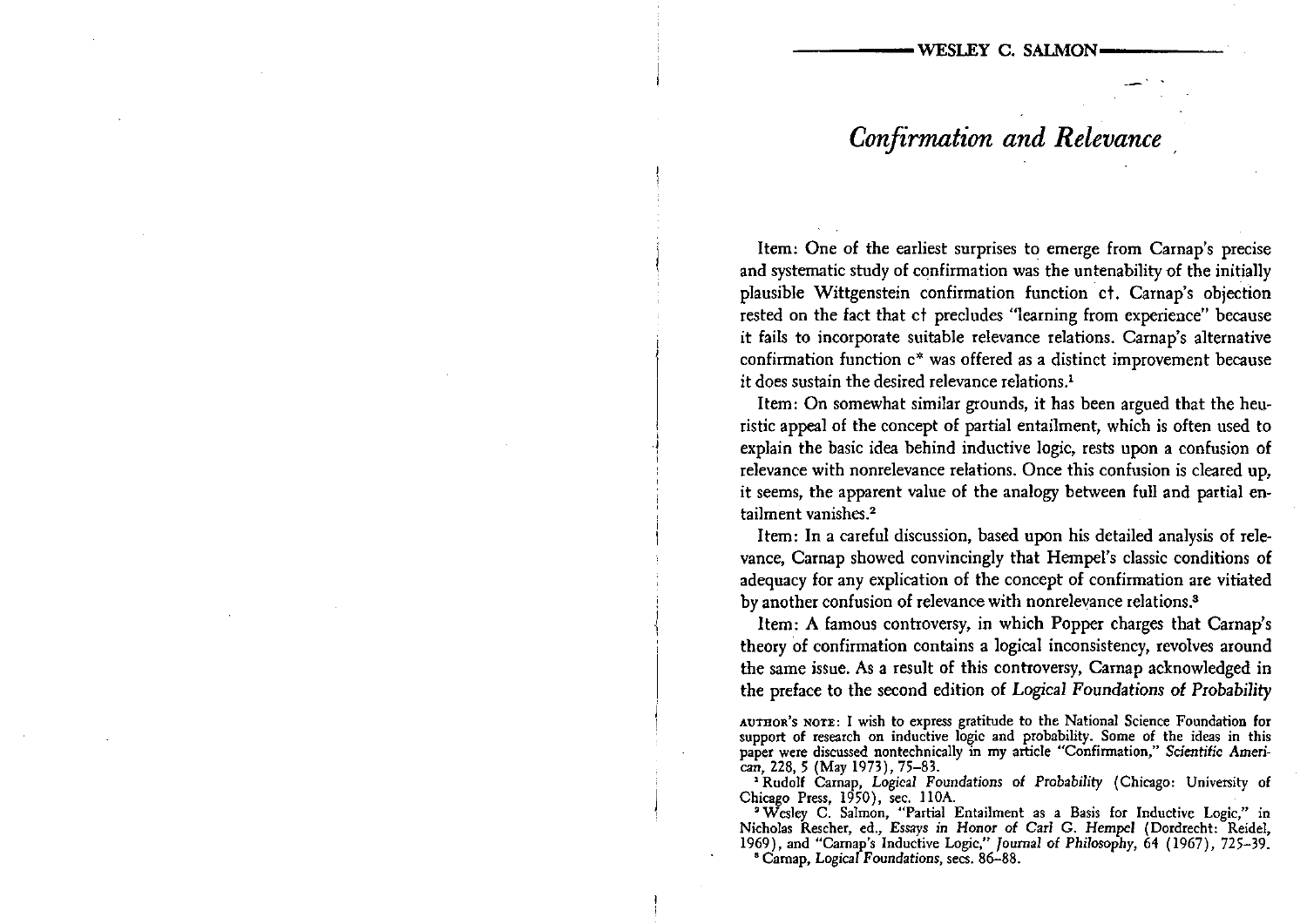# *Confirmation and Relevance ,*

Item: One of the earliest surprises to emerge from Carnap's precise and systematic study of confirmation was the untenability of the initially plausible Wittgenstein confirmation function et. Carnap's objection rested on the fact that et precludes "learning from experience" because it fails to incorporate suitable relevance relations. Carnap's alternative confirmation function c' was offered as a distinct improvement because it does sustain the desired relevance relations.'

Item: On somewhat similar grounds, it has been argued that the heuristic appeal of the concept of partial entailment, which is often used to explain the basic idea behind inductive logic, rests upon a confusion of relevance with nonrelevance relations. Once this confusion is cleared up, it seems, the apparent value of the analogy between full and partial entailment vanishes.<sup>2</sup>

Item: In a careful discussion, based upon his detailed analysis of relevance, Carnap showed convincingly that Hempel's classic conditions of adequacy for any explication of the concept of confirmation are vitiated by another confusion of relevance with nonrelevance relations.<sup>3</sup>

Item: A famous controversy, in which Popper charges that Carnap's theory of confirmation contains a logical inconsistency, revolves around the same issue. As a result of this controversy, Carnap acknowledged in the preface to the second edition of Logical Foundations of Probability

**AUTHOR'S NOTE: I wish to express gratitude to the National Science Foundation for support of research on inductive logic and probability. Some of the ideas in this paper were discussed** nontechnically **in my article "Confirmation," Scientific Ameri**can, 228, 5 (May 1973), 75-83.

**<sup>1</sup> Rudolf Camap, Logical Foundations of** *Probability* **(Chicago: University of** Chicago Press, 1950), sec. 1l0A.

**Wesley C. Salmon, "Partial Entailment as a Basis for Inductive Logic," in Nicholas Rescher. ed.,** *Essays* **in Honor of Carl G.** *Hempel* **(Dordrecht: Reidel,** 1969), and "Carnap's Inductive Logic," Journal of Philosophy, 64 (1967), 725-39. **<sup>8</sup> Camap, Logical Foundations, secs. 86-88.**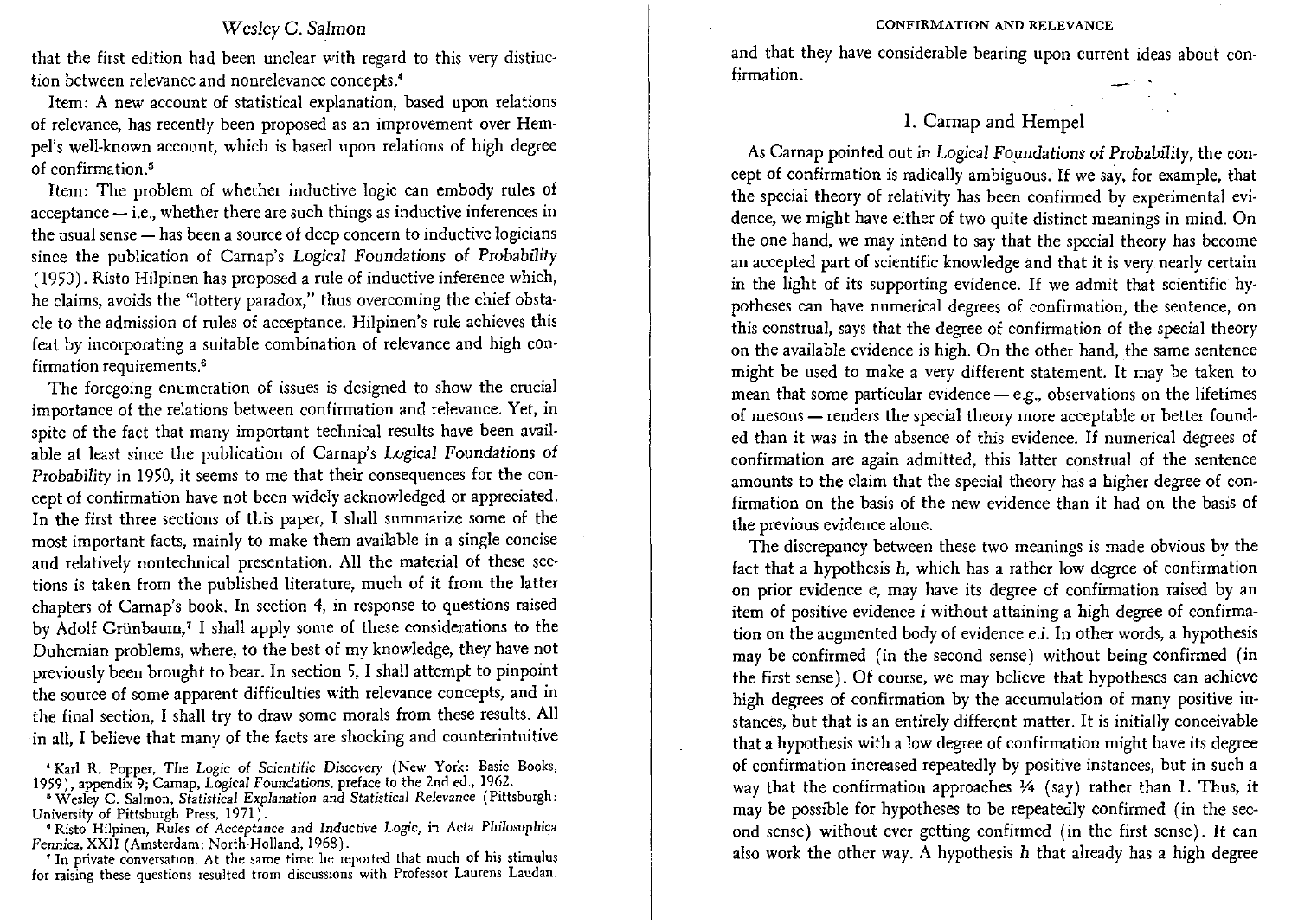### *Wesley* C. *Salmon*

that the first edition had been unclear with regard to this very distinction between relevance and nonrelevance concepts.<sup>4</sup>

Item: A new account of statistical explanation, based upon relations of relevance, has recently been proposed as an improvement over Hempel's well-known account, which is based upon relations of high degree of confirmation.<sup>5</sup>

Item: The problem of whether inductive logic can embody rules of  $acceptance - i.e., whether there are such things as inductive inferences in$ the usual sense - has been a source of deep concern to inductive logicians since the publication of Carnap's Logical Foundations of *Probability* (1950). Risto Hilpinen has proposed a rule of inductive inference which, he claims, avoids the "lottery paradox," thus overcoming the chief obstacle to the admission of rules of acceptance. Hilpinen's rule achieves this feat by incorporating a suitable combination of relevance and high confirmation requirements.<sup>6</sup>

The foregoing enumeration of issues is designed to show the crucial importance of the relations between confirmation and relevance. Yet, in spite of the fact that many important technical results have been available at least since the publication of Carnap's *Logical* Foundations of Probability in 1950, it seems to me that their consequences for the concept of confirmation have not been widely acknowledged or appreciated. In the first three sections of this paper, I shall summarize some of the most important facts, mainly to make them available in a single concise and relatively nontechnical presentation. All the material of these sections is taken from the published literature, much of it from the latter chapters of Carnap's book. In section 4, in response to questions raised by Adolf Grünbaum,<sup>7</sup> I shall apply some of these considerations to the Duhemian problems, where, to the best of my knowledge, they have not previously been brought to bear. In section 5, I shall attempt to pinpoint the source of some apparent difficulties with relevance concepts, and in the final section, I shall try to draw some morals from these results. All in all, I believe that many of the facts are shocking and counterintuitive

**• Karl R. Popper,** *The Logic,* **of** Scientjf~c *Discovery* **(New York: Basic Books, 1**959), appendix 9; Carnap, *Logical Foundations*, preface to the 2nd ed., 1962.

**<sup>6</sup> Wesley C. Salmon,** *Statistical Explanation* **and** *StatistIcal* **Relevance (Pittsburgh:** in all, I believe that many of the facts are shocking and counterintuitive<br>
\* Karl R. Popper, The Logic of Scientific Discovery (New York: Basic Books,<br>
1959), appendix 9; Camap, Logical Foundations, preface to the 2nd ed.

<sup>*e*</sup> Risto Hilpinen, Rules of Acceptance and Inductive Logic, in Acta Philosophica Fennica, XXII (Amsterdam: North-Holland, 1968).

**<sup>1</sup> In private conversation. At the same time he reported that much of hIS stimulus for raising these questions resulted from discussions with Professor Laurens Laudan.**

and that they have considerable bearing upon current ideas about confirmation.

# 1. Carnap and Hempel

As Carnap pointed out in Logical *Foundations* of Probability, the concept of confirmation is radically ambiguous. If we say, for example, that the special theory of relativity has been confirmed by experimental evidence, we might have either of two quite distinct meanings in mind. On the one hand, we may intend to say that the special theory has become an accepted part of scientific knowledge and that it is very nearly certain in the light of its supporting evidence. If we admit that scientific hypotheses can have numerical degrees of confirmation, the sentence, on this construal, says that the degree of confirmation of the special theory on the available evidence is high. On the other hand, the same sentence might be used to make a very different statement. It may be taken to mean that some particular evidence  $-e.g.,$  observations on the lifetimes of mesons - renders the special theory more acceptable or better founded than it was in the absence of this evidence. If numerical degrees of confirmation are again admitted, this latter construal of the sentence amounts to the claim that the special theory has a higher degree of confirmation on the basis of the new evidence than it had on the basis of the previous evidence alone.

The discrepancy between these two meanings is made obvious by the fact that a hypothesis h, which has a rather low degree of confirmation on prior evidence e, may have its degree of confirmation raised by an item of positive evidence i without attaining a high degree of confirmation on the augmented body of evidence e.i. In other words, a hypothesis may be confirmed (in the second sense) without being confirmed (in the first sense). Of course, we may believe that hypotheses can achieve high degrees of confirmation by the accumulation of many positive instances, but that is an entirely different matter. It is initially conceivable that a hypothesis with a low degree of confirmation might have its degree of confirmation increased repeatedly by positive instances, but in such a way that the confirmation approaches  $\frac{1}{4}$  (say) rather than 1. Thus, it may be possible for hypotheses to be repeatedly confirmed (in the second sense) without ever getting confirmed (in the first sense). It can also work the other way. A hypothesis h that already has a high degree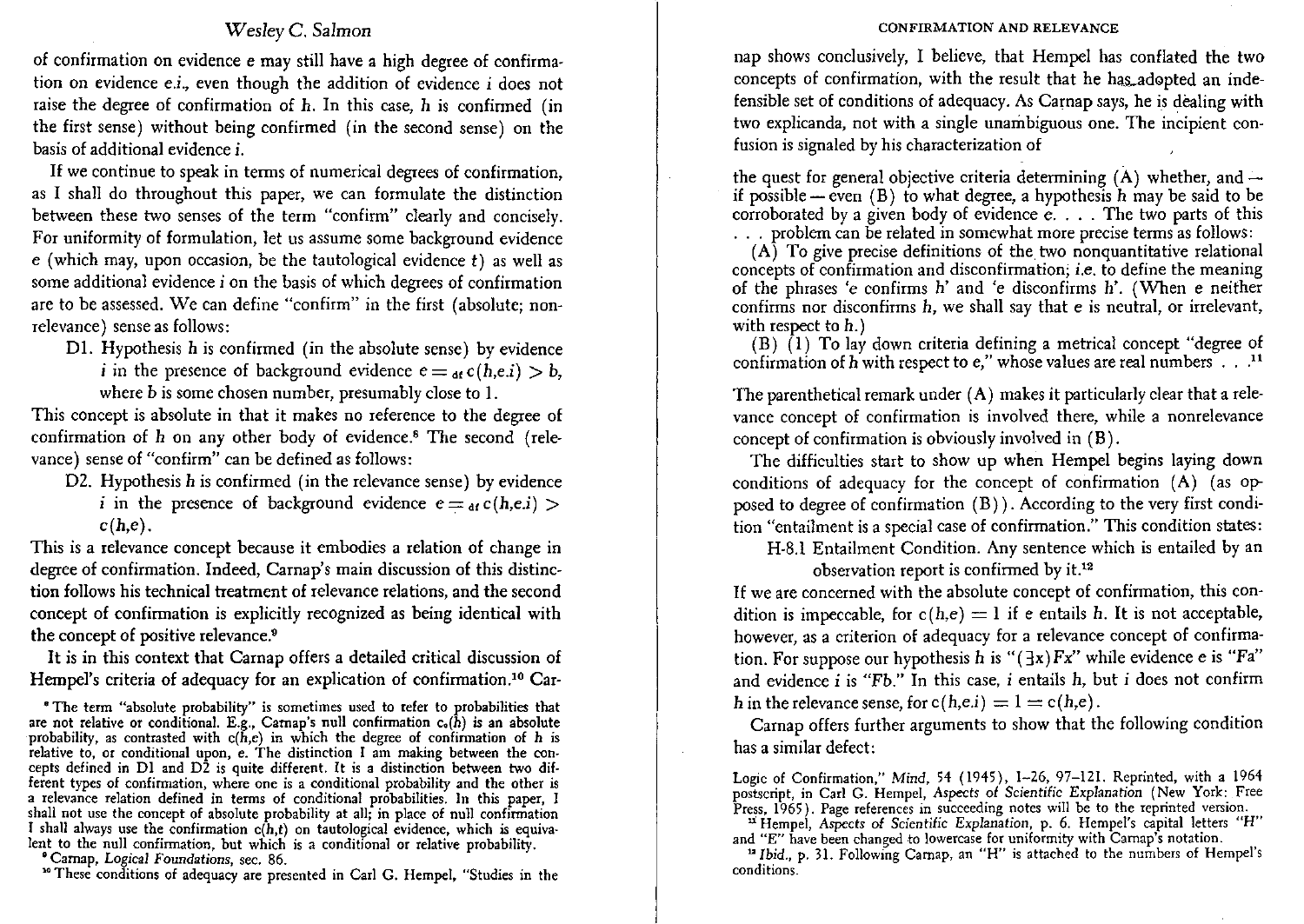#### Wesley C. Salmon

of confirmation on evidence e may still have a high degree of confirmation on evidence e.i., even though the addition of evidence i does not raise the degree of confirmation of h. In this case, h is confinned (in the first sense) without being confirmed (in the second sense) on the basis of additional evidence i.

If we continue to speak in terms of numerical degrees of confirmation, as I shall do throughout this paper, we can fonnulate the distinction between these two senses of the term "confinn" clearly and concisely. For uniformity of formulation, let us assume some background evidence  $e$  (which may, upon occasion, be the tautological evidence t) as well as some additional evidence i On the basis of which degrees of confirmation are to be assessed. We can define "confirm" in the first (absolute; nonrelevance) sense as follows:

Dl. Hypothesis *h* is confirmed (in the absolute sense) by evidence

i in the presence of background evidence  $e = \frac{d}{dt} c(h,e,i) > b$ , where b is some chosen number, presumably close to I.

This concept is absolute in that it makes no reference to the degree of confirmation of *h* on any other body of evidence.<sup>8</sup> The second (relevance) sense of "confirm" can be defined as follows:

D2. Hypothesis *h* is confirmed (in the relevance sense) by evidence i in the presence of background evidence  $e =_{at} c(h,e,i)$  $c(h,e)$ .

This is a relevance concept because it embodies a relation of change in degree of confirmation. Indeed, Carnap's main discussion of this distinction follows his technical treatment of relevance relations, and the second concept of confinnation is explicitly recognized as being identical with the concept of positive relevance.<sup>9</sup>

It is in this context that Carnap offers a detailed critical discussion of Hempel's criteria of adequacy for an explication of confirmation.<sup>10</sup> Car-

**eThe term "absolute probability" is sometimes used to refer to probabilities that are not relative or conditional. E.g., Camap's null confirmation co(h) is an absolute probability, as contrasted with c(h,e) in which the degree of confirmation of** *h* **is relative to, or conditional upon, e. The distinction I am making between the concepts defined in Dl and D2 is quite different. It is a distinction between two different types of confirmation, where one is a conditional probability and the other is a relevance relation defined in terms of conditional probabilities. In this paper, I shall not use the concept of absolute probability at all; in place of null confirmation I shan always use the confirmation** *c(h,t)* **on tautological evidence, which is equivalent to the null confirmation, but which is a conditional or relative probability.**

**Ii Camap,** *Logical Foundations,* **sec. 86.**

**<sup>10</sup> These conditions of adequacy are presented in Carl G. Hempel, "Studies in the**

nap shows conclusively, I believe, that Hempel has conflated the two concepts of confirmation, with the result that he has adopted an indefensible set of conditions of adequacy. As Carnap says, he is dealing with two explicanda, not with a single unambiguous one. The incipient confusion is signaled by his characterization of

the quest for general objective criteria determining  $(A)$  whether, and if possible  $-$  even  $(B)$  to what degree, a hypothesis  $h$  may be said to be corroborated by <sup>a</sup> given body of evidence e.... The two parts of this ... problem can be related in somewhat more precise terms as follows:

 $(A)$  To give precise definitions of the two nonquantitative relational concepts of confirmation and disconfirmation; i.e. to define the meaning of the phrases 'e confirms h' and 'e disconfirms h'. (When e neither confirms nor disconfirms h, we shall say that e is neutral, or irrelevant, with respect to h.)

(B) (I) To lay down criteria defining a metrical concept "degree of confirmation of *h* with respect to e," whose values are real numbers . . .<sup>11</sup>

The parenthetical remark under (A) makes it particularly clear that a relevance concept of confirmation is involved there, while a nonrelevance concept of confirmation is obviously involved in (B).

The difficulties start to show up when Hempel begins laying down conditions of adequacy for the concept of confirmation  $(A)$  (as opposed to degree of confirmation (B)). According to the very first condition "entailment is a special case of confirmation." This condition states:

H-8.l Entailment Condition. Any sentence which is entailed by an observation report is confinned by it,12

If we are concerned with the absolute concept of confirmation, this condition is impeccable, for  $c(h,e) = 1$  if e entails h. It is not acceptable, however, as a criterion of adequacy for a relevance concept of confirmation. For suppose our hypothesis *h* is " $(\exists x)$  Fx" while evidence e is "Fa" and evidence i is *"Fb."* In this case, i entails *h,* but i does not confirm h in the relevance sense, for  $c(h,e,i) = 1 = c(h,e)$ .

Carnap offers further arguments to show that the following condition has a similar defect:

Logic of Confirmation," Mind, 54 (1945), 1-26,97-121. Reprinted. with a 1964 **postscript, in Carl G. Hempel,** *Aspects of* **Scientific Explanation (New York: .Free Press. 1965). Page references in succeeding notes will be to the reprinted version.**

**1.1 Hempel,** *Aspects* **of Scientific Explanation, p. 6. Hempel's capital letters "H" and "E" have been changed to lowercase for uniformity with Camap's notation.**

**<sup>U</sup>** *Ibid.,* **p. 31. Following Camap, an "H" is attached to the numbers of Hempel's conditions.**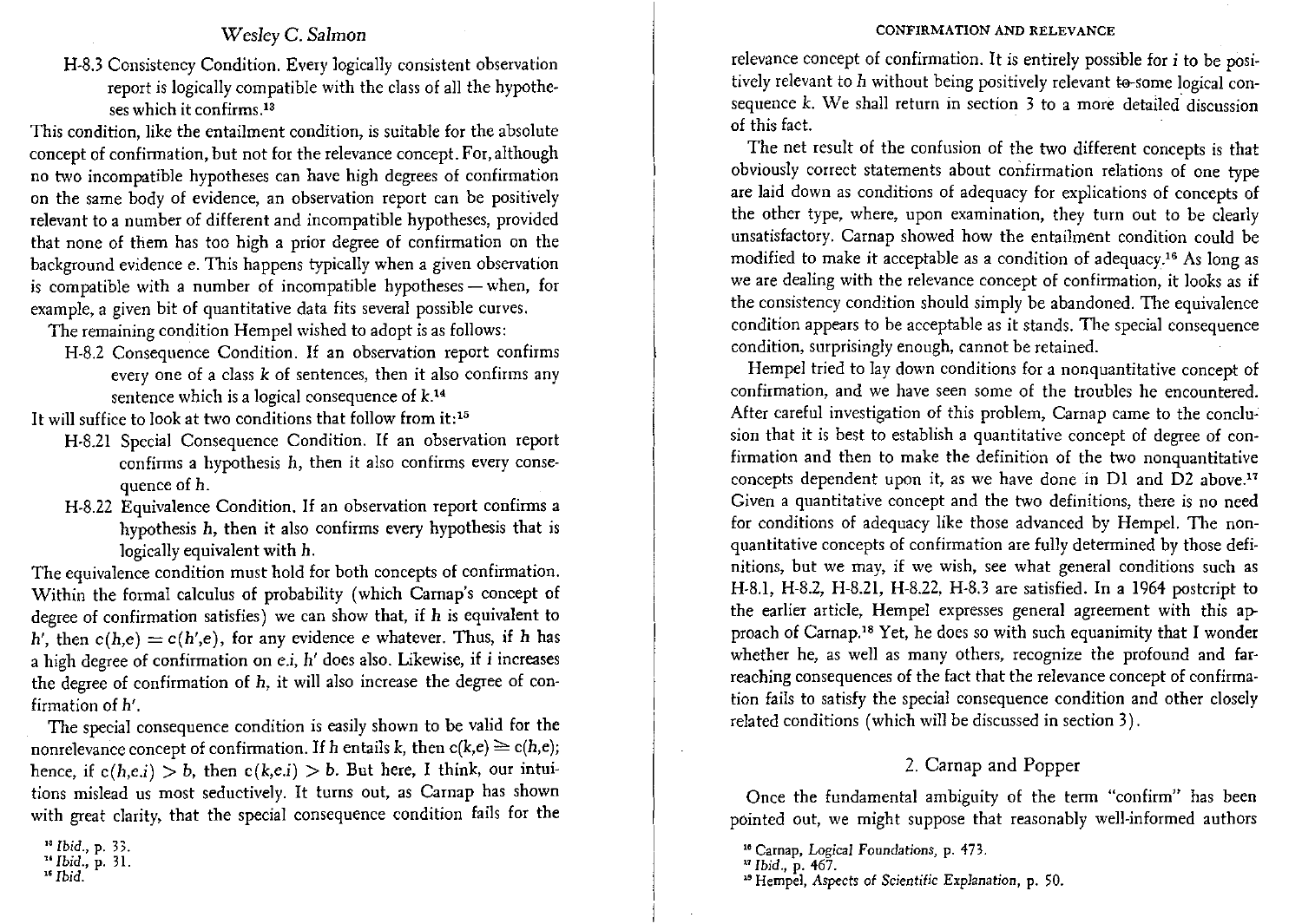H-8.3 Consistency Condition. Every logically consistent observation report is logically compatible with the class of all the hypothe**ses which it confirms,13**

This condition, like the entailment condition, is suitable for the absolute concept of confirmation, but not for the relevance concept. For, although no two incompatible hypotheses can have high degrees of confirmation on the same body of evidence, an observation report can be positively relevant to a number of different and incompatible hypotheses, provided that none of them has too high a prior degree of confirmation on the background evidence e. This happens typically when a given observation is compatible with a number of incompatible hypotheses - when, for example, a given bit of quantitative data fits several possible curves.

The remaining condition Hempel wished to adopt is as follows:

H-8.2 Consequence Condition. If an observation report confirms every one of a class  $k$  of sentences, then it also confirms any sentence which is a logical consequence of k.<sup>14</sup>

It will suffice to look at two conditions that follow from it: <sup>15</sup>

- H-8.21 Special Consequence Condition. If an observation report confirms a hypothesis h, then it also confirms every consequence of h.
- H-8.22 Equivalence Condition. If an observation report confirms a hypothesis h, then it also confirms every hypothesis that is logically equivalent with h.

The equivalence condition must hold for both concepts of confirmation. Within the formal calculus of probability (which Carnap's concept of degree of confirmation satisfies) we can show that, if h is equivalent to h', then  $c(h,e) = c(h',e)$ , for any evidence e whatever. Thus, if h has a high degree of confirmation on  $e.i$ ,  $h'$  does also. Likewise, if  $i$  increases the degree of confirmation of h, it will also increase the degree of confirmation of h'.

The special consequence condition is easily shown to be valid for the nonrelevance concept of confirmation. If h entails k, then  $c(k,e) \geq c(h,e)$ ; hence, if  $c(h,e,i) > b$ , then  $c(k,e,i) > b$ . But here, I think, our intuitions mislead us most seductively. It turns out, as Carnap has shown with great clarity, that the special consequence condition fails for the

relevance concept of confirmation. It is entirely possible for i to be positively relevant to h without being positively relevant to-some logical consequence k. We shall return in section 3 to a more detailed discussion of this fact.

The net result of the confusion of the two different concepts is that obviously correct statements about confirmation relations of one type are laid down as conditions of adequacy for explications of concepts of the other type, where, upon examination, they turn out to be clearly unsatisfactory. Carnap showed how the entailment condition could be modified to make it acceptable as a condition of adequacy.<sup>16</sup> As long as we are dealing with the relevance concept of confirmation, it looks as if the consistency condition should simply be abandoned. The equivalence condition appears to be acceptable as it stands. The special consequence condition, surprisingly enough, cannot be retained.

Hempel tried to lay down conditions for a nonquantitative concept of confirmation, and we have seen some of the troubles he encountered. After careful investigation of this problem, Carnap came to the conclusion that it is best to establish a quantitative concept of degree of confirmation and then to make the definition of the two nonquantitative concepts dependent upon it, as we have done in D1 and D2 above.<sup>17</sup> Given a quantitative concept and the two definitions, there is no need for conditions of adequacy like those advanced by Hempel. The nonquantitative concepts of confirmation are fully determined by those definitions, but we may, if we wish, see what general conditions such as H-8.!, H-8.2, H-8.21, H-8.22, H-8.3 are satisfied. In a 1964 postcript to the earlier article, Hempel expresses general agreement with this approach of Carnap.<sup>18</sup> Yet, he does so with such equanimity that I wonder whether he, as well as many others, recognize the profound and farreaching consequences of the fact that the relevance concept of confirmation fails to satisfy the special consequence condition and other closely related conditions (which will be discussed in section 3).

# 2. Carnap and Popper

Once the fundamental ambiguity of the term "confirm" has been pOinted out, we might suppose that reasonably well-informed authors

- **1e Carnap. Logical Foundations, p. 473.**
- " Ibid., p. 467.
- **<sup>19</sup> Hempel,** *Aspects* **of Scientific** *Explanation,* **p. 50.**

**<sup>13</sup> Ibid., p. 33.** " Ibid., p. 31. **<sup>15</sup>** *Ibid.*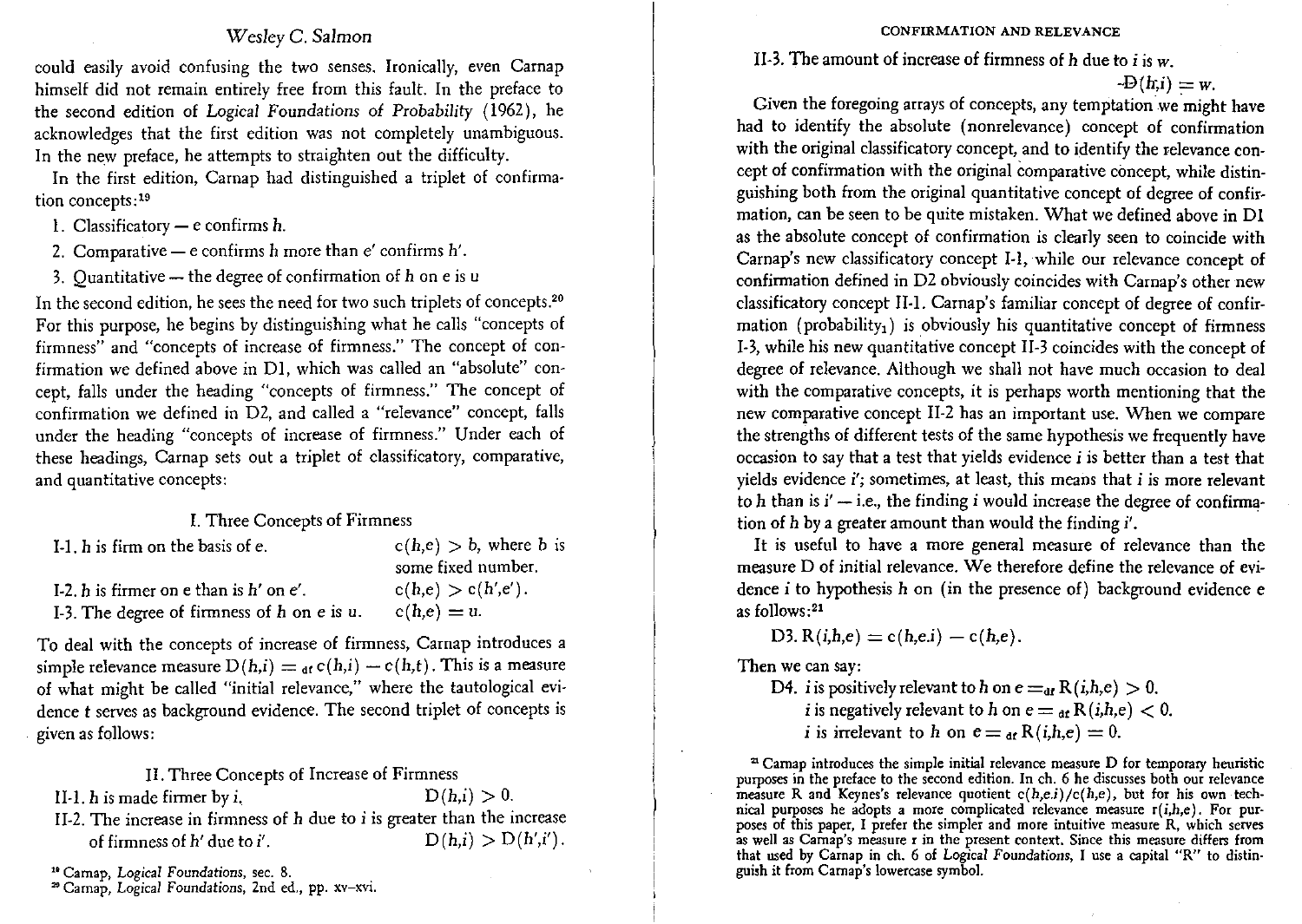### *Wesley* C. *Salmon*

could easily avoid confusing the two senses. Ironically, even Carnap himself did not remain entirely free from this fault. In the preface to the second edition of *Logical* Foundations *at Probability* (1962), he acknowledges that the first edition was not completely unambiguous. In the new preface, he attempts to straighten out the difficulty.

In the first edition, Carnap had distinguished a triplet of confirmation concepts: <sup>19</sup>

1. Classificatory  $-e$  confirms  $h$ .

2. Comparative - e confirms h more than  $e'$  confirms h'.

3. Quantitative - the degree of confirmation of *h* on e is u

In the second edition, he sees the need for two such triplets of concepts.<sup>20</sup> For this purpose, he begins by distinguishing what he calls "concepts of firmness" and "concepts of increase of firmness." The concept of confirmation we defined above in DI, which was called an "absolute" concept, falls under the heading "concepts of firmness." The concept of confirmation we defined in D2, and called a "relevance" concept, falls under the heading "concepts of increase of firmness." Under each of these headings, Carnap sets out a triplet of classificatory, comparative, and quantitative concepts:

#### I. Three Concepts of Firmness

| I-1, h is firm on the basis of e.                  | $c(h,e) > b$ , where b is |
|----------------------------------------------------|---------------------------|
|                                                    | some fixed number.        |
| I-2. $h$ is firmer on $e$ than is $h'$ on $e'$ .   | c(h,e) > c(h',e').        |
| I-3. The degree of firmness of $h$ on $e$ is $u$ . | $c(h,e) = u.$             |

To deal with the concepts of increase of finnness, Carnap introduces a simple relevance measure  $D(h,i) = a_0 c(h,i) - c(h,t)$ . This is a measure of what might be called "initial relevance," where the tautological evidence t serves as background evidence. The second triplet of concepts is given as follows:

II. Three Concepts of Increase of Firmness

II-1. *h* is made firmer by *i*.  $D(h,i) > 0$ .

II-2. The increase in firmness of *h* due to i is greater than the increase

of firmness of h' due to i'.  $D(h,i) > D(h',i').$ 

**<sup>U</sup> Camap, Logical Foundations, sec. 8.**

**<sup>20</sup> Carnap,** *Logical* **Foundations, 2nd ed., pp. xv-xvi.**

II-3. The amount of increase of firmness of *h* due to *i* is w.

 $-E(h,i) = w$ .

Given the foregoing arrays of concepts, any temptation we might have had to identify the absolute (nonrelevance) concept of confirmation with the original classificatory concept, and to identify the relevance concept of confirmation with the original comparative concept, while distinguishing both from the original quantitative concept of degree of confirmation, can be seen to be quite mistaken. What we defined above in Dl as the absolute concept of confirmation is clearly seen to coincide with Carnap's new classificatory concept I-I, while our relevance concept of confinnation defined in D2 obviously coincides with Carnap's other new classificatory concept II-I. Carnap's familiar concept of degree of confirmation (probability<sub>1</sub>) is obviously his quantitative concept of firmness 1-3, while his new quantitative concept II-3 coincides with the concept of degree of relevance. Although we shall not have much occasion to deal with the comparative concepts, it is perhaps worth mentioning that the new comparative concept II-2 has an important use. When we compare the strengths of different tests of the same hypothesis we frequently have occasion to say that a test that yields evidence *i* is better than a test that yields evidence i'; sometimes, at least, this means that *i* is more relevant to h than is  $i' - i.e.,$  the finding  $i$  would increase the degree of confirmation of h by a greater amount than would the finding *i'.*

**It** is useful to have a more general measure of relevance than the measure D of initial relevance. We therefore define the relevance of evidence *i* to hypothesis h on (in the presence of) background evidence e as follows: $21$ 

D3. R(i,h,e) = c(h,e,i) - c(h,e).

Then we can say:

D4. *i* is positively relevant to h on  $e =_{dt} R(i, h, e) > 0$ . *i* is negatively relevant to h on  $e = \frac{d}{dt}R(i, h, e) < 0$ . *i* is irrelevant to h on  $e =$ <sub>df</sub>  $R(i, h, e) = 0$ .

**<sup>21</sup> Camap introduces the simple initial relevance measure D for temporary heuristic purposes in the preface to the second edition. In ch. 6 he discusses both our relevance measure R and Keynes's relevance quotient c(h,e.i)/c(h,e), but for his own technical purposes he adopts a more complicated relevance measure [(i,h,e). For purposes of this paper, I prefer the simpler and more intuitive measure R, which serves as well as Camap's measure r in the present context. Since this measure differs from that used by Camap in ch. 6 of Logical Foundations, I use a capital "R" to distin· guish it from Carnap's lowercase symbol.**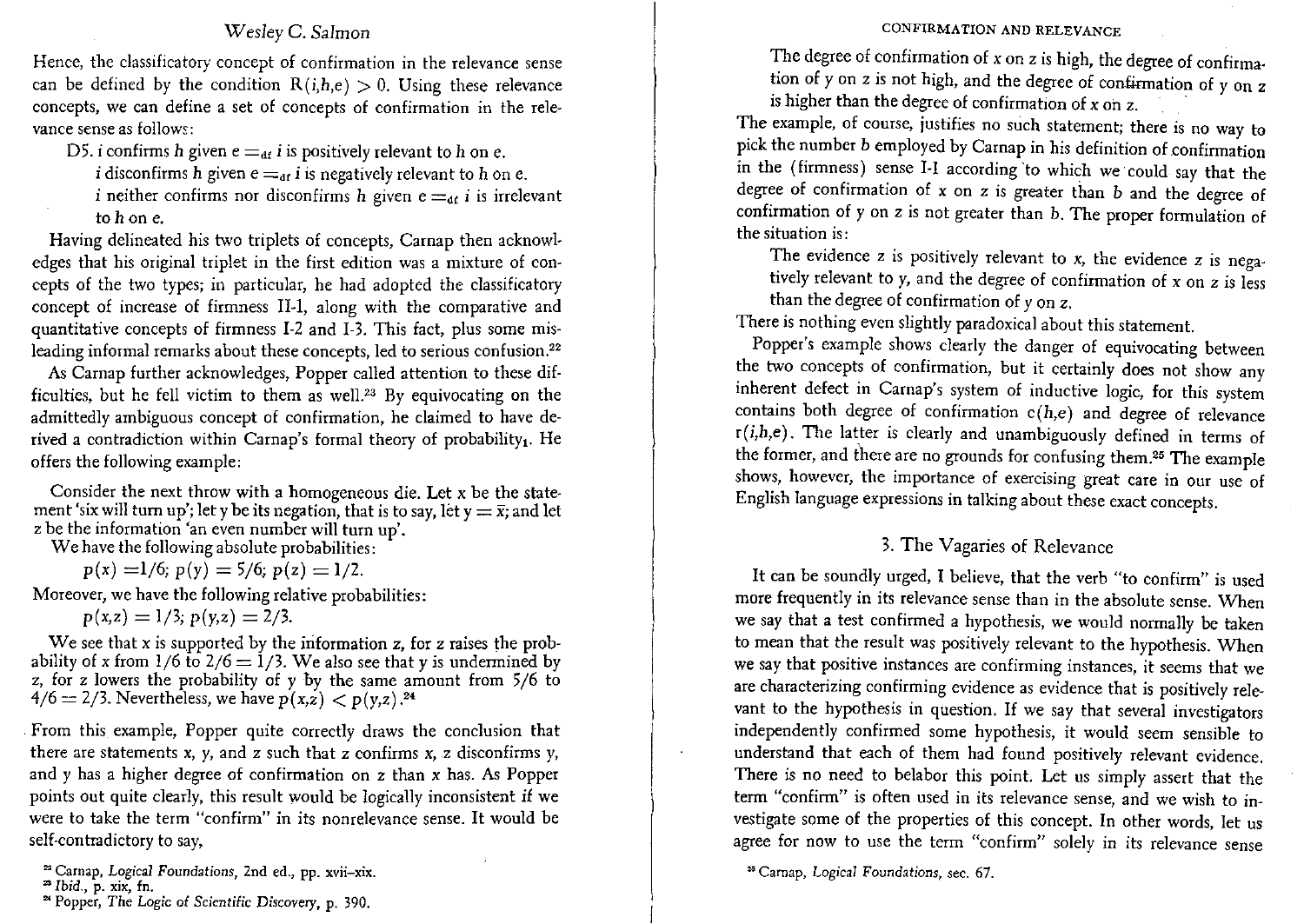### *Wesley* C. *Salmon*

Hence, the classificatory concept of confirmation in the relevance sense can be defined by the condition  $R(i,h,e) > 0$ . Using these relevance concepts, we can define a set of concepts of confirmation in the rele**vance sense as** follow~:

D5. i confirms *h* given  $e =_{at} i$  is positively relevant to *h* on *e*.

*i* disconfirms *h* given  $e =_{dt} i$  is negatively relevant to *h* on *e*.

*i* neither confirms nor disconfirms *h* given  $e =_{dt} i$  is irrelevant to h on e.

Having delineated his two triplets of concepts, Carnap then acknowledges that his original triplet in the first edition was a mixture of concepts of *the* two types; in particular, *he* had adopted the classificatory concept of increase of firmness II-I, along with the comparative and quantitative concepts of firmness 1-2 and 1-3. This fact, plus some misleading informal remarks about these concepts, led to serious confusion.22

As Carnap further acknowledges, Popper called attention to these difficulties, but he fell victim to them as well.23 By equivocating on the admittedly ambiguous concept of confirmation, he claimed to have derived a contradiction within Carnap's formal theory of probability1. He offers the following example:

Consider the next throw with a homogeneous die. Let x be the statement 'six will turn up'; let y be its negation, that is to say, let  $y = \bar{x}$ ; and let z be the information 'an even number will turn up'.

We have the following absolute probabilities:

 $p(x) = 1/6$ ;  $p(y) = 5/6$ ;  $p(z) = 1/2$ .

Moreover, we have the following relative probabilities:

$$
p(x,z) = 1/3
$$
;  $p(y,z) = 2/3$ .

We see that x is supported by the information z, for z raises the probability of x from  $1/6$  to  $2/6 = 1/3$ . We also see that y is undermined by z, for z lowers the probability of y by the same amount from 5/6 to  $4/6 = 2/3$ . Nevertheless, we have  $p(x,z) < p(y,z)$ .<sup>24</sup>

From this example, Popper quite correctly draws the conclusion that there are statements  $x$ ,  $y$ , and  $z$  such that  $z$  confirms  $x$ ,  $z$  disconfirms  $y$ , and y has a higher degree of confirmation on z than x has. As Popper points out quite clearly, this result would be logically inconsistent if we were to take the term "confirm" in its nonrelevance sense. It would be self-contradictory to say,

The degree of confirmation of x on z is high, the degree of confirmation of  $y$  on  $z$  is not high, and the degree of confirmation of  $y$  on  $z$ is higher than the degree of confirmation of  $x$  on  $z$ .

The example, of course, justifies no such statement; there is no way to pick the number b employed by Carnap in his definition of confirmation in the (firmness) sense I-I according 'to which we' could say that the degree of confirmation of  $x$  on  $z$  is greater than  $b$  and the degree of confirmation of y on z is not greater than b. The proper formulation of the situation is:

The evidence  $z$  is positively relevant to  $x$ , the evidence  $z$  is negatively relevant to y, and the degree of confirmation of x on z is less than the degree of confirmation of y on z.

There is nothing even slightly paradoxical about this statement.

Popper's example shows clearly the danger of equivocating between the two concepts of confirmation, but it certainly does not show any inherent defect in Carnap's system of inductive logic, for this system contains both degree of confirmation *c(h,e)* and degree of relevance  $r(i,h,e)$ . The latter is clearly and unambiguously defined in terms of the former, and there are no grounds for confusing them.<sup>25</sup> The example **shows, however, the importance of exercising great care in our use of** English language expressions in talking about these exact concepts.

### 3. The Vagaries of Relevance

It can be soundly urged, I believe, that the verb "to confirm" is used more frequently in its relevance sense than in the absolute sense. When we say that a test confirmed a hypothesis, we would normally be taken to mean that the result was positively relevant to the hypothesis. When we say that positive instances are confirming instances, it seems that we are characterizing confirming evidence as evidence that is positively relevant to the hypothesis in question. If we say that several investigators independently confirmed some hypothesis, it would seem sensible to understand that each of them had found positively relevant evidence. There is no need to belabor this point. Let us simply assert that the **term "confirm" is often used in its relevance sense, and we wish to in**vestigate some of the properties of this concept. In other words, let us **agree for now to use the term "confirm" solely in its relevance sense**

<sup>25</sup> **Camap, Logical Foundations,** *sec.* **67.**

**Zl Carnap, Logical Foundations, 2nd ed., pp. xvii-xix.**

**<sup>2:</sup>l** *Ibid.,* **p.xix, fn.**

**<sup>2(</sup> Popper,** *The Logic* **of** *Scientific Discovery,* **p. 390.**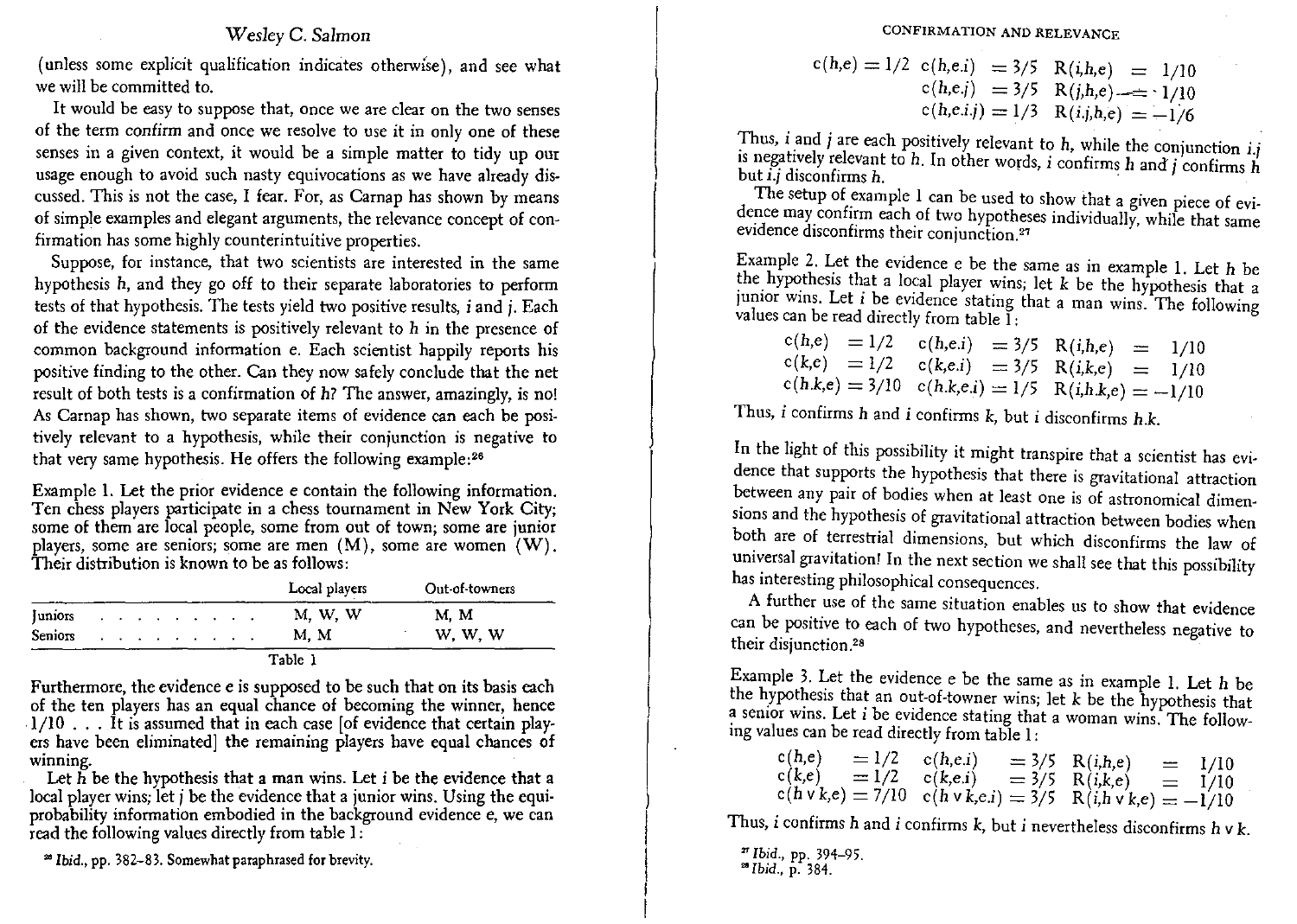(unless some explicit qualification indicates otherwise), and see what we will be committed to.

It would be easy to suppose that, once we are clear on the two senses of the term confirm and once we resolve to use it in only one of these senses in a given context, it would be a simple matter to tidy up our usage enough to avoid such nasty equivocations as we have already discussed. This is not the case, I fear. For, as Carnap has shown by means of simple examples and elegant arguments, the relevance concept of confirmation has some highly counterintuitive properties.

Suppose, for instance, that two scientists are interested in the same hypothesis h, and they go off to their separate laboratories to perform tests of that hypothesis. The tests yield two positive results, *i* and *j*. Each of the evidence statements is positively relevant to *h* in the presence of common background information e. Each scientist happily reports his positive finding to the other. Can they now safely conclude that *the* net result of both tests is a confirmation of *h?* The answer, amazingly, is no! As Carnap has shown, two separate items of evidence can each be positively relevant to a hypothesis, while their conjunction is negative to that very same hypothesis. He offers the following example:<sup>26</sup>

Example 1. Let the prior evidence e contain the following information. Ten chess players participate in a chess tournament in New York City; some of them are local people, some from out of town; some are junior players, some are seniors; some are men (M), some are women (W). Their distribution is known to be as follows:

|                |                                          |  |  |                                                                                                                                                                                                                                               |  | Local players | Out-of-towners |
|----------------|------------------------------------------|--|--|-----------------------------------------------------------------------------------------------------------------------------------------------------------------------------------------------------------------------------------------------|--|---------------|----------------|
| Juniors        | the contract of the contract of the con- |  |  |                                                                                                                                                                                                                                               |  | M, W, W       | M. M           |
| <b>Seniors</b> |                                          |  |  | $\mathbf{r} = \mathbf{r} - \mathbf{r}$ , and the set of the set of the set of the set of the set of the set of the set of the set of the set of the set of the set of the set of the set of the set of the set of the set of the set of the s |  | M. M          | <i>w. w. w</i> |
|                |                                          |  |  |                                                                                                                                                                                                                                               |  | Table 1       |                |

Furthermore, the evidence e is supposed to be such that on its basis each of the ten players has an equal chance of becoming the winner, hence  $1/10$  ... It is assumed that in each case [of evidence that certain players have been eliminated] the remaining players have equal chances of

winning.<br>Let *h* be the hypothesis that a man wins. Let *i* be the evidence that local player wins; let j be the evidence that a junior wins. Using the equiprobability information embodied in the background evidence e, we can read the following values directly from table I:

*" Ibid.,* pp. 382-83. Somewbat paraphrased for brevity.

|  | $c(h,e) = 1/2 \ c(h,e,i) = 3/5 \ R(i,h,e) = 1/10$ |
|--|---------------------------------------------------|
|  | $c(h,e,j) = 3/5$ R(j,h,e) $\implies$ 1/10         |
|  | $c(h,e,i,j) = 1/3$ $R(i,j,h,e) = -1/6$            |

Thus, i and j are each positively relevant to h, while the conjunction i.j is negatively relevant to *h*. In other words, *i* confirms *h* and *j* confirms *h* but *i.j* disconfirms *h*.

The setup of example 1 can be used to show that a given piece of evidence may confirm each of two hypotheses individually, while that same evidence disconfirms their conjunction.<sup>27</sup>

Example 2. Let the evidence e be the same as in example 1. Let *h* be the hypothesis that a local player wins; let k be the hypothesis that a junior wins. Let i be evidence stating that a man wins. The following values can be read directly from table I:

 $c(h,e) = 1/2$   $c(h,e,i) = 3/5$   $R(i,h,e) = 1/10$  $c(k,e) = 1/2$   $c(k,e,i) = 3/5$   $R(i,k,e) = 1/10$  $c(h.k,e) = 3/10 \quad c(h.k,e.i) = 1/5 \quad R(i,h.k,e) = -1/10$ 

Thus, i confirms hand i confirms *k,* but i disconfirms *h.k.*

In the light of this possibility it might transpire that a scientist has evidence that supports *the* hypothesis that there is gravitational attraction between any pair of bodies when at least One is of astronomical dimensions and the hypothesis of gravitational attraction between bodies when both are of terrestrial dimensions, but which disconfirms the law of universal gravitation! In the next section we shall see that this possibility has interesting philosophical consequences.

A further use of the same situation enables us to show that evidence can be positive to each of two hypotheses, and nevertheless negative to their disjunction.<sup>28</sup>

Example 3. Let the evidence e be the same as in example 1. Let *h* be *the* hypothesis that an out-of-towner wins; let *k* be the hypothesis that a senior wins. Let i be evidence stating that a woman wins. The following values can be read directly from table I:

$$
\begin{array}{llll}\n\text{c}(h,e) & = 1/2 & \text{c}(h,e,i) & = 3/5 & \text{R}(i,h,e) & = 1/10 \\
\text{c}(k,e) & = 1/2 & \text{c}(k,e,i) & = 3/5 & \text{R}(i,k,e) & = 1/10 \\
\text{c}(h \lor k,e) & = 7/10 & \text{c}(h \lor k,e,i) & = 3/5 & \text{R}(i,h \lor k,e) & = -1/10\n\end{array}
$$

Thus, i confirms h and i confirms  $k$ , but i nevertheless disconfirms  $h \vee k$ .

```
Ibid., pp. 394-95.
"Ibid., p. 384.
```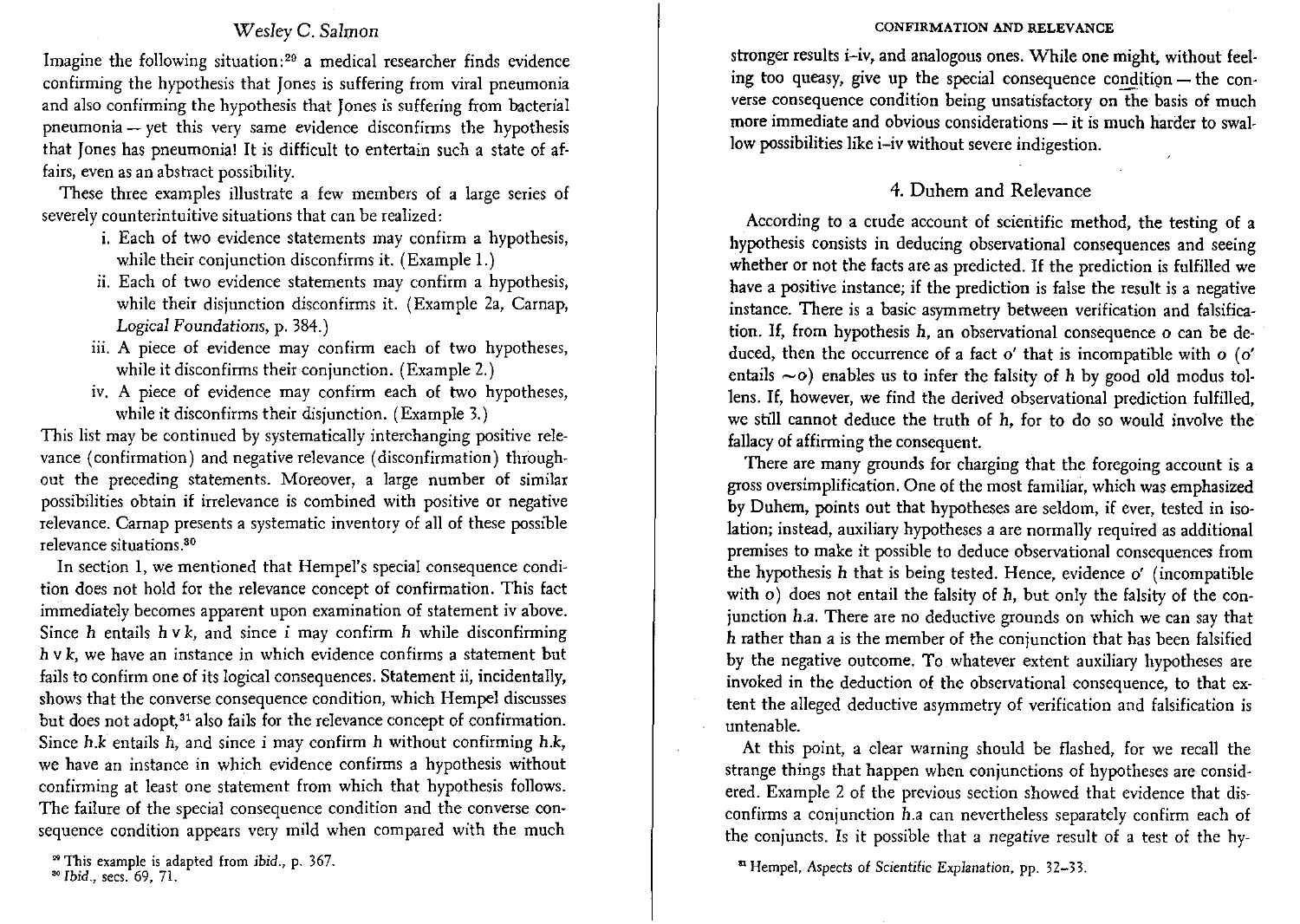Imagine the following situation: <sup>29</sup> a medical researcher finds evidence confirming the hypothesis that Jones is suffering from viral pneumonia and also confirming the hypothesis that Jones is suffering from bacterial  $p$ neumonia  $-$  yet this very same evidence disconfirms the hypothesis that Jones has pneumonia! It is difficult to entertain such a state of affairs, even as an abstract possibility.

These three examples illustrate a few members of a large series of severely counterintuitive situations that can be realized:

- i. Each of two evidence statements may confirm a hypothesis, while their conjunction disconfirms it. (Example I.)
- ii. Each of two evidence statements may confirm a hypothesis, while their disjunction disconfirms it. (Example 2a, Carnap, *Logical* Foundations, p. 384.)
- iii. A piece of evidence may confirm each of two hypotheses, while it disconfirms their conjunction. (Example 2.)
- iv. A piece of evidence may confirm each of two hypotheses, while it disconfirms their disjunction. (Example 3.)

This list may be continued by systematically interchanging positive relevance (confirmation) and negative relevance (disconfirmation) throughout the preceding statements. Moreover, a large number of similar possibilities obtain if irrelevance is combined with positive or negative relevance. Carnap presents a systematic inventory of all of these possible **relevance situations.so**

In section I, we mentioned that Hempel's special consequence condition does not hold for the relevance concept of confirmation. This fact immediately becomes apparent upon examination of statement iv above. Since h entails h v k, and since *i* may confirm h while disconfirming h v k, we have an instance in which evidence confirms a statement but fails to confirm one of its logical consequences. Statement ii, incidentally, shows that the converse consequence condition, which Hempel discusses but does not adopt,<sup>31</sup> also fails for the relevance concept of confirmation. Since h.k entails h, and since *i* may confirm h without confirming h.k, we have an instance in which evidence confirms a hypothesis without confirming at least one statement from which that hypothesis follows. The failure of the special consequence condition and the converse consequence condition appears very mild when compared with the much

#### CONFIRMATION AND RELEVANCE

stronger results i-iv, and analogous ones. While one might, without feeling too queasy, give up the special consequence condition  $-$  the converse consequence condition being unsatisfactory on the basis of much more immediate and obvious considerations - it is much harder to swallow possibilities like i-iv without severe indigestion.

# 4. Duhem and Relevance

According to a crude account of scientific method, the testing of a hypothesis consists in deducing observational consequences and seeing whether or not the facts are as predicted. If the prediction is fulfilled we have a positive instance; if the prediction is false the result is a negative instance. There is a basic asymmetry between verification and falsification. If, from hypothesis h, an observational consequence <sup>0</sup> can be deduced, then the occurrence of a fact  $o'$  that is incompatible with  $o$  ( $o'$ entails  $\sim$ 0) enables us to infer the falsity of h by good old modus tollens. If, however, we find the derived observational prediction fulfilled, we still cannot deduce the truth of h, for to do so would involve the fallacy of affirming the consequent.

There are many grounds for charging that the foregoing account is a gross oversimplification. One of the most familiar, which was emphasized by Duhem, points out that hypotheses are seldom, if ever, tested in isolation; instead, auxiliary hypotheses a are normally required as additional premises to make it possible to deduce observational consequences from the hypothesis *h* that is being tested. Hence, evidence 0' (incompatible with  $o$ ) does not entail the falsity of h, but only the falsity of the conjunction *h.a.* There are no deductive grounds on which we can say that *h* rather than a is the member of the conjunction that has been falsified by the negative outcome. To whatever extent auxiliary hypotheses are invoked in the deduction of the observational consequence, to that extent the alleged deductive asymmetry of verification and falsification is untenable.

At this point, a clear warning should be flashed, for we recall the strange things that happen when conjunctions of hypotheses are considered. Example 2 of the previous section showed that evidence that disconfirms a conjunction *h.a* can nevertheless separately confirm each of the conjuncts. Is it possible that a negative result of a test of the hy-

**<sup>81</sup> Hempel, Aspects of Scientific Explanation, pp. 32-33.**

**This example is adapted from ibid., p. 367.**

*Ibid.,* sees. 69, 71.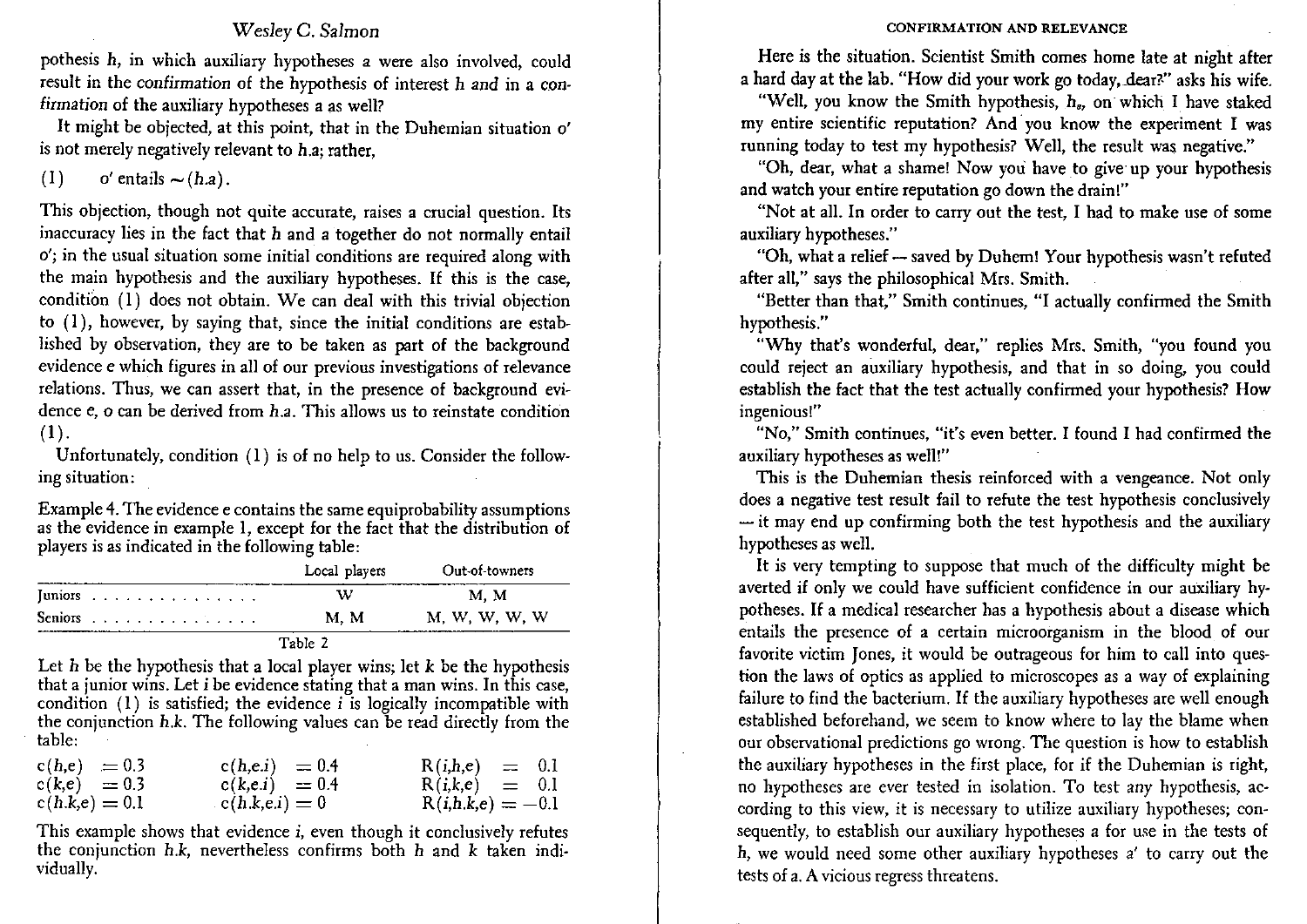### *Wesley* C. *Salmon*

pothesis h, in which auxiliary hypotheses a were also involved, could result in the *confirmation* of the hypothesis of interest *h* and in a con· *firmation* of the auxiliary hypotheses a as well?

It might be objected, at this point, that in the Duhemian situation 0' is not merely negatively relevant to *h.a;* rather,

(1) o' entails  $\sim$ (h.a).

This objection, though not quite accurate, raises a crucial question. Its inaccuracy lies in the fact that *h* and a together do not normally entail 0'; in the usual situation some initial conditions are required along with the main hypothesis and the auxiliary hypotheses. If this is the case, condition (I) does not obtain. We can deal with this trivial objection to (I), however, by saying that, since the initial conditions are established by observation, they are to be taken as part of the background evidence e which figures in all of our previous investigations of relevance relations. Thus, we can assert that, in the presence of background evidence e, <sup>0</sup> can be derived from *h.a.* This allows us to reinstate condition  $(1).$ 

Unfortunately, condition (I) is of no help to us. Consider the following situation:

Example 4. The evidence e contains the same equiprobability assumptions as the evidence in example I, except for the fact that the distribution of players is as indicated in the following table:

|                                              | Local players | Out-of-towners |
|----------------------------------------------|---------------|----------------|
| Juniors $\ldots \ldots \ldots \ldots \ldots$ | w             | M. M           |
| Seniors                                      | M. M          | M. W. W. W. W  |
|                                              | Table 2       |                |

Let *h* be the hypothesis that a local player wins; let *k* be the hypothesis that a junior wins. Let *i* be evidence stating that a man wins. In this case, condition  $(1)$  is satisfied; the evidence i is logically incompatible with the conjunction h.k. The following values can be read directly from the table:

| $c(h,e) = 0.3$   | $c(h,e.i) = 0.4$        | $R(i, h, e) = 0.1$     |
|------------------|-------------------------|------------------------|
| $c(k,e) = 0.3$   | $c(k,e,i) = 0.4$        | $R(i,k,e) = 0.1$       |
| $c(h.k,e) = 0.1$ | $\mathbf{c}(h.k,e.i)=0$ | $R(i, h, k, e) = -0.1$ |

This example shows that evidence i, even though it conclusively refutes the conjunction h.k, nevertheless confirms both  $h$  and  $k$  taken individually.

Here is the situation. Scientist Smith comes home late at night after a hard day at the lab. "How did your work go today, dear?" asks his wife.

"Well, you know the Smith hypothesis,  $h_{s}$ , on which I have staked my entire scientific reputation? And' you know the experiment I was running today to test my hypothesis? Well, the result was negative."

"Oh, dear, what a shame! Now you have to give' up your hypothesis and watch your entire reputation go down the drain!"

"Not at all. In order to carry out the test, I had to make use of some auxiliary hypotheses."

"Oh, what a relief - saved by Duhem! Your hypothesis wasn't refuted after all," says the philosophical Mrs. Smith.

"Better than that," Smith continues, "I actually confirmed the Smith hypothesis."

"Why that's wonderful, dear," replies Mrs. Smith, "you found you could reject an auxiliary hypothesis, and that in so doing, you could establish the fact that the test actually confirmed your hypothesis? How **ingenious!"**

"No," Smith continues, "it's even better. I found I had confirmed the auxiliary hypotheses as well!"

This is the Duhemian thesis reinforced with a vengeance. Not only does a negative test result fail to refute the test hypothesis conclusively  $-$  it may end up confirming both the test hypothesis and the auxiliary hypotheses as well.

It is very tempting to suppose that much of the difficulty might be averted if only we could have sufficient confidence in our auxiliary hypotheses. If a medical researcher has a hypothesis about a disease which entails the presence of a certain microorganism in the blood of our favorite victim Jones, it would be outrageous for him to call into question the laws of optics as applied to microscopes as a way of explaining failure to find the bacterium. If the auxiliary hypotheses are well enough established beforehand, we seem to know where to lay the blame when our observational predictions go wrong. The question is how to establish the auxiliary hypotheses in the first place, for if the Duhernian is right, no hypotheses are ever tested in isolation. To test any hypothesis, according to this view, it is necessary to utilize auxiliary hypotheses; consequently, to establish our auxiliary hypotheses a for use in the tests of h, we would need some other auxiliary hypotheses a' to carry out the tests of a. A vicious regress threatens.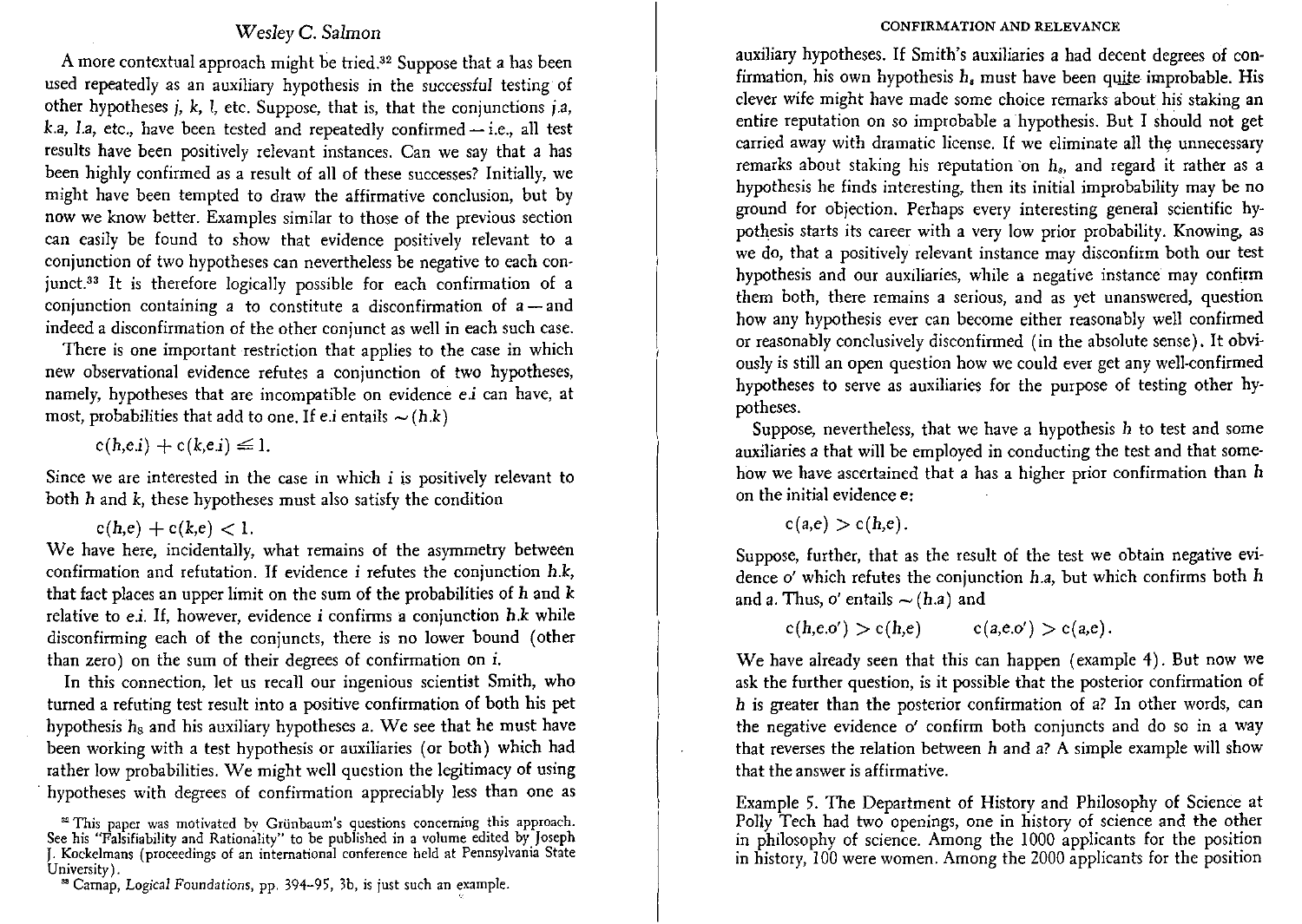A more contextual approach might be tried.<sup>32</sup> Suppose that a has been used repeatedly as an auxiliary hypothesis in the successful testing of other hypotheses  $j$ ,  $k$ ,  $l$ , etc. Suppose, that is, that the conjunctions  $j.a$ ,  $k.a, I.a, etc., have been tested and repeatedly confirmed — i.e., all test$ results have been positively relevant instances. Can we say that a has been highly confirmed as a result of all of these successes? Initially, we might have been tempted to draw the affirmative conclusion, but by now we know better. Examples similar to those of the previous section can easily be found to show that evidence positively relevant to a conjunction of two hypotheses can nevertheless be negative to each conjunct.<sup>33</sup> It is therefore logically possible for each confirmation of a conjunction containing a to constitute a disconfirmation of  $a$  - and indeed a disconfirmation of the other conjunct as well in each such case.

There is one important restriction that applies to the case in which new observational evidence refutes a conjunction of two hypotheses, namely, hypotheses that are incompatible on evidence e.i can have, at most, probabilities that add to one. If e.i entails  $\sim$  (h.k)

 $c(h,e,i) + c(k,e,i) \leq 1$ .

Since we are interested in the case in which i is positively relevant to both hand k, these hypotheses must also satisfy the condition

 $c(h,e) + c(k,e) < 1.$ 

We have here, incidentally, what remains of the asymmetry between confinuation and refutation. If evidence i refutes the conjunction h.k, that fact places an upper limit on the sum of *the* probabilities of hand k relative to e.i. If, however, evidence  $i$  confirms a conjunction  $h.k$  while disconfirming each of the conjuncts, there is no lower bound (other than zero) on the sum of their degrees of confirmation on i.

In this connection, let us recall our ingenious scientist Smith, who turned a refuting test result into a positive confirmation of both his pet hypothesis  $h<sub>s</sub>$  and his auxiliary hypotheses a. We see that he must have been working with a test hypothesis or auxiliaries (or both) which had rather low probabilities. We might well question the legitimacy of using . hypotheses with degrees of confirmation appreciably less than one as

#### CONFIRMATION AND RELEVANCE

auxiliary hypotheses. If Smith's auxiliaries a had decent degrees of confirmation, his own hypothesis  $h<sub>s</sub>$  must have been quite improbable. His clever wife might have made some choice remarks about his staking an entire reputation on so improbable a hypothesis. But I should not get carried away with dramatic license. If we eliminate all the unnecessary remarks about staking his reputation on  $h_s$ , and regard it rather as a hypothesis he finds interesting, then its initial improbability may be no ground for objection. Perhaps every interesting general scientific hypothesis starts its career with a very low prior probability. Knowing, as we do, that a positively relevant instance may disconfirm both our *test* hypothesis and our auxiliaries, while a negative instance may confirm them both, there remains a serious, and as yet unanswered, question how any hypothesis ever can become either reasonably well confirmed or reasonably conclusively disconfirmed (in the absolute sense). It obviously is still an open question how we could ever get any well-confirmed hypotheses to serve as auxiliaries for the purpose of testing other hypotheses.

Suppose, nevertheless, that we have a hypothesis h to test and some auxiliaries a that will be employed in conducting the test and that somehow we have ascertained that a has a higher prior confirmation than h on the initial evidence e;

 $c(a,e) > c(h,e)$ .

Suppose, further, that as the result of the test we obtain negative evidence 0' which refutes the conjunction h.a, but which confirms both h and a. Thus, o' entails  $\sim$  (h.a) and

 $c(h,e.o') > c(h,e)$   $c(a,e.o') > c(a,e).$ 

We have already seen that this can happen (example 4). But now we ask the further question, is it possible that the posterior confirmation of h is greater than the posterior confirmation of a? In other words, can the negative evidence 0' confirm both conjuncts and do so in a way that reverses the relation between h and a? A simple example will show that the answer is affirmative.

Example 5. The Department of History and Philosophy of Science at Polly Tech had two openings, one in history of science and the other in philosophy of science. Among the 1000 applicants for the position in history, 100 were women. Among the 2000 applicants for the position

 $\frac{1}{2}$  This paper was motivated by Grünbaum's questions concerning this approach. **See his "Falsifiability and Rationality" to be published in a volume edited by Joseph J. Kockelmans (proceedings of an international conference held at Pennsylvania State University) .**

**<sup>3</sup>lI Carnap,** *Logical* **Foundations, pp. 394-95, 3b, is just such an example.**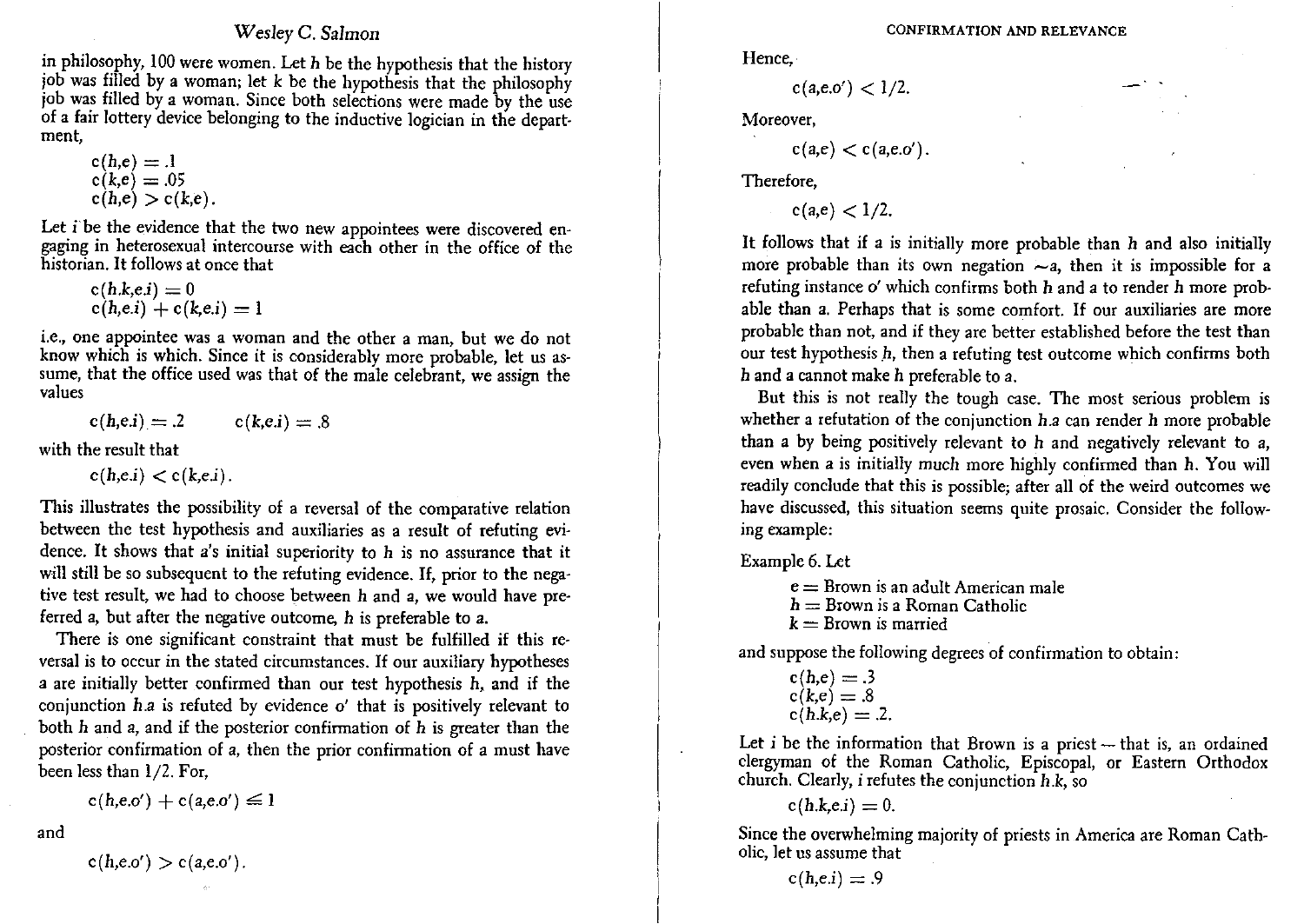in philos~phy, 100 were women. Let *h* be the hypothesis that the history job was filled by a woman; let *k* be the hypothesis that the philosophy job was filled by a woman. Since both selections were made by the use of a fair lottery device belonging to the inductive logician in the depart**ment,**

$$
\begin{array}{l} \mathrm{c}(\mathrm{h, e}) = .1 \\ \mathrm{c}(\mathrm{k, e}) = .05 \\ \mathrm{c}(\mathrm{h, e}) > \mathrm{c}(\mathrm{k, e}). \end{array}
$$

Let  $\ddot{i}$  be the evidence that the two new appointees were discovered engaging in heterosexual intercourse with each other in the office of the historian. It follows at once that

$$
c(h.k,e.i) = 0
$$
  

$$
c(h,e.i) + c(k,e.i) = 1
$$

i.e., one appointee was a woman and the other a man, but we do not know which is which. Since it is considerably more probable, let us assume, that the office used was that of the male celebrant, we assign the values

 $c(h,e.i) = .2$   $c(k,e.i) = .8$ 

with the result that

 $c(h,e,i) < c(k,e,i)$ .

This illustrates the possibility of a reversal of the comparative relation between the test hypothesis and auxiliaries as a result of refuting evidence. It shows that a's initial superiority to h is no assurance that it will still be so subsequent to the refuting evidence. If, prior to the negative test result, we had to choose between *h* and a, we would have preferred a, but after the negative outcome, *h* is preferable to a.

There is one significant constraint that must be fulfilled if this reversal is to occur in the stated circumstances. If our auxiliary hypotheses a are initially better confirmed than our test hypothesis h, and if the conjunction *h.a* is refuted by evidence 0' that is positively relevant to both *h* and a, and if the posterior confirmation of *h* is greater than the posterior confirmation of a, then the prior confirmation of a must have been less than 1/2. For,

 $c(h,e.o') + c(a,e.o') \leq 1$ 

and

$$
c(h,e.o')>c(a,e.o').
$$

Hence.

 $c(a,e.o') < 1/2.$ 

**Moreover,**

 $c(a,e) < c(a,e,o').$ 

Therefore,

 $c(a,e) < 1/2$ .

It follows that if a is initially more probable than *h* and also initially more probable than its own negation  $\sim a$ , then it is impossible for a refuting instance 0' which confirms both *h* and a to render *h* more probable than a. Perhaps that is some comfort. If our auxiliaries are more probable than not, and if they are better established before the test than our test hypothesis h, then a refuting test outcome which confirms both *h* and a cannot make *h* preferable to a.

But this is not really the tough case. The most serious problem is whether a refutation of the conjunction *h.a* can render *h* more probable than a by being positively relevant to *h* and negatively relevant to a, even when a is initially much more highly confirmed than *h.* You will readily conclude that this is possible; after all of the weird outcomes we have discussed, this situation seems quite prosaic. Consider the following example:

Example 6. Let

 $e =$ Brown is an adult American male

 $h =$  Brown is a Roman Catholic

 $k = Brown$  is married

and suppose the following degrees of confirmation to obtain:

$$
c(h,e) = .3
$$
  
\n $c(k,e) = .8$   
\n $c(h.k,e) = .2.$ 

Let i be the information that Brown is a priest  $-$  that is, an ordained clergyman of the Roman Catholic, Episcopal, or Eastern Orthodox church. Clearly, i refutes the conjunction *h.k,* so

$$
c(h.k,e.i)=0.
$$

Since the overwhelming majority of priests in America are Roman Catholic, let us assume that

$$
c(h,e.i)=.9
$$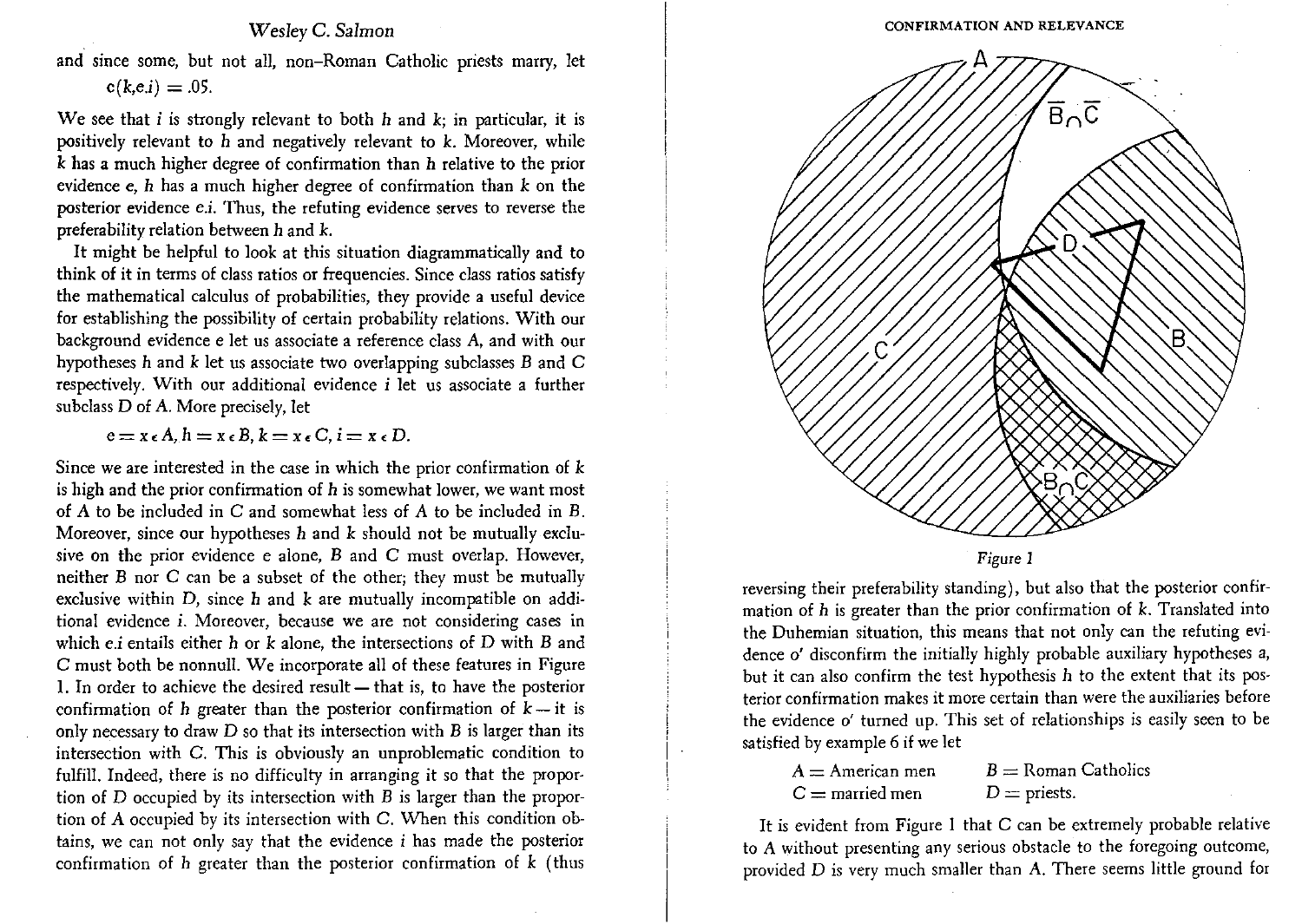and since some, but not all, non-Roman Catholic priests marry, let  $c(k,e,i) = .05$ .

We see that *i* is strongly relevant to both *h* and *k*; in particular, it is positively relevant to h and negatively relevant to k. Moreover, while k has a much higher degree of confirmation than h relative to the prior evidence e, h has a much higher degree of confirmation than k on the posterior evidence *e.i.* Thus, the refuting evidence serves to reverse the preferability relation between h and k.

It might be helpful to look at this situation diagrammatically and to think of it in terms of class ratios or frequencies. Since class ratios satisfy the mathematical calculus of probabilities, they provide a useful device for establishing the possibility of certain probability relations. With our background evidence e let us associate a reference class A, and with our hypotheses  $h$  and  $k$  let us associate two overlapping subclasses  $B$  and  $C$ respectively. With our additional evidence i let us associate a further subclass D of A. More precisely, let

$$
e = x \epsilon A, h = x \epsilon B, k = x \epsilon C, i = x \epsilon D.
$$

Since we are interested in the case in which the prior confirmation of k is high and the prior confirmation of h is somewhat lower, we want most of A to be included in C and somewhat less of A to be included in B. Moreover, since our hypotheses  $h$  and  $k$  should not be mutually exclusive on the prior evidence  $e$  alone,  $B$  and  $C$  must overlap. However, neither B nor C can be a subset of the other; they must be mutually exclusive within D, since h and k are mutually incompatible on addi**tional evidence i. Moreover, because we are not considering cases in** which *e.i* entails either h or k alone, the intersections of D with B and C must both be nonnull. We incorporate all of these features in Figure 1. In order to achieve the desired result  $-$  that is, to have the posterior confirmation of h greater than the posterior confirmation of  $k - it$  is only necessary to draw  $D$  so that its intersection with  $B$  is larger than its intersection with C. This is obviously an unproblematic condition to fulfill. Indeed, there is no difficulty in arranging it so that the proportion of D occupied by its intersection with B is larger than the proportion of A occupied by its intersection with C. When this condition obtains, we can not only say that the evidence i has made the posterior confirmation of  $h$  greater than the posterior confirmation of  $k$  (thus



reversing their preferability standing), but also that the posterior confirmation of h is greater than the prior confirmation of k. Translated into the Duhemian situation, this means that not only can the refuting evidence 0' disconfirm the initially highly probable auxiliary hypotheses a, but it can also confirm the test hypothesis h to the extent that its posterior confirmation makes it more certain than were the auxiliaries before the evidence 0' turned up. This set of relationships is easily seen to be satisfied by example 6 if we let

| $A =$ American men | $B =$ Roman Catholics |
|--------------------|-----------------------|
| $C =$ married men  | $D =$ priests.        |

It is evident from Figure I that C can be extremely probable relative to A without presenting any serious obstacle to the foregoing outcome, provided D is very much smaller than A. There seems little ground for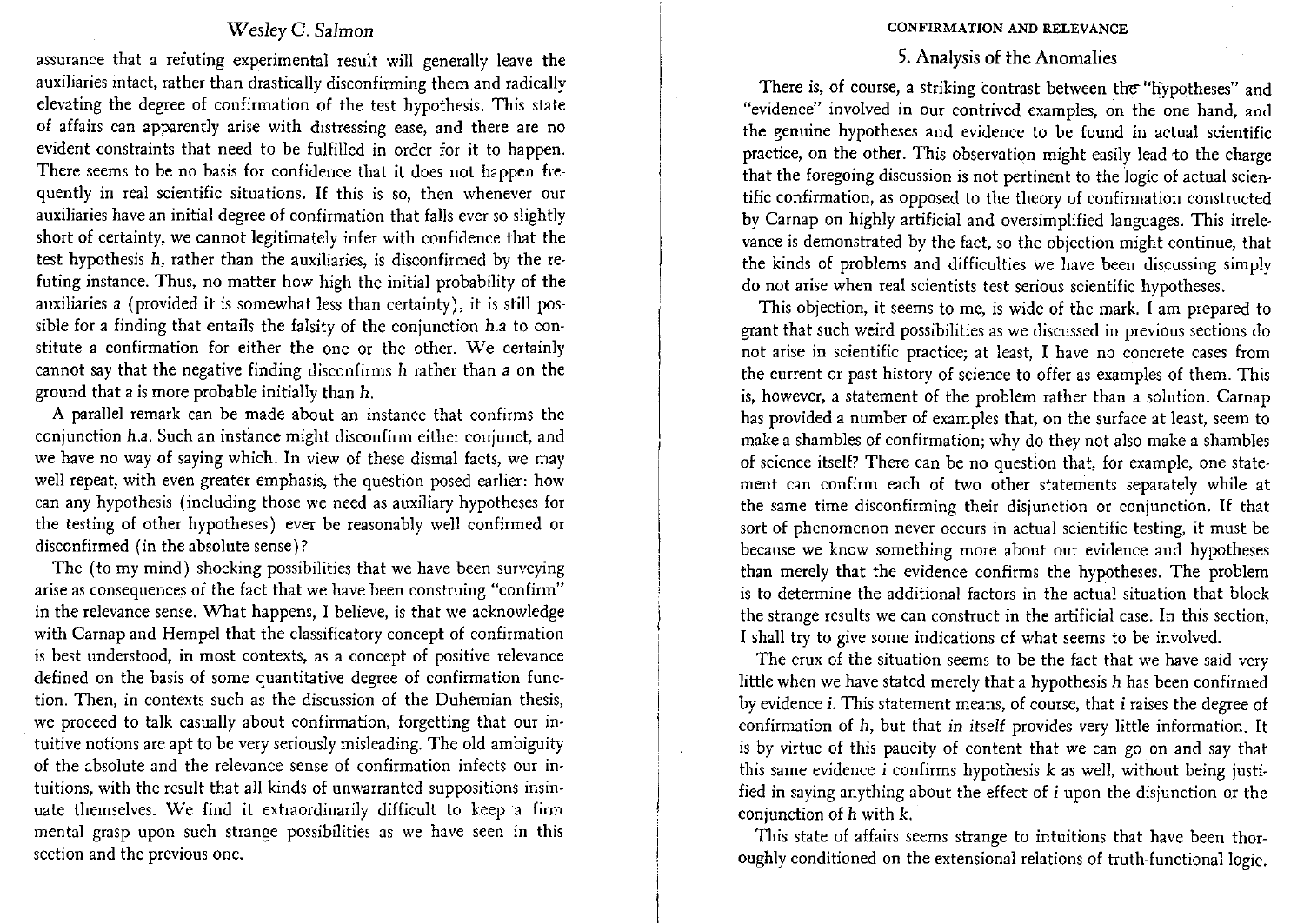assurance that a refuting experimental result will generally leave the auxiliaries intact, rather than drasticalIy disconfirming them and radically elevating the degree of confirmation of the test hypothesis. This state of affairs can apparently arise with distressing ease, and there are no evident constraints that need to be fulfilled in order for it to happen. There seems to be no basis for confidence that it does not happen frequently in real scientific situations. If this is so, then whenever our auxiliaries have an initial degree of confirmation that falls ever so slightly short of certainty, we cannot legitimately infer with confidence that the test hypothesis h, rather than the auxiliaries, is disconfirmed by the refuting instance. Thus, no matter how high the initial probability of the auxiliaries a (provided it is somewhat less than certainty), it is still possible for a finding that entails the falsity of the conjunction h.a to constitute a confirmation for either the one or the other. We certainly cannot say that the negative finding disconfirms *h* rather than a on the ground that a is more probable initially than *h.*

A parallel remark can be made about an instance that confirms the conjunction h.a. Such an instance might disconfirm either conjunct, and we have no way of saying which. In view of these dismal facts, we may well repeat, with even greater emphasis, the question posed earlier: how can any hypothesis (including those we need as auxiliary hypotheses for the testing of other hypotheses) ever be reasonably well confirmed or disconfirmed (in the absolute sense)?

The (to my mind) shocking possibilities that we have been surveying arise as consequences of the fact that we have been construing "confirm" in the relevance sense. What happens, I believe, is that we acknowledge with Carnap and Hempel that the classificatory concept of confirmation is best understood, in most contexts, as a concept of positive relevance defined on the basis of some quantitative degree of confirmation function. Then, in contexts such as the discussion of the Duhemian thesis, we proceed to talk casually about confirmation, forgetting that our intuitive notions are apt to be very seriously misleading. The old ambiguity of the absolute and the relevance sense of confirmation infects our intuitions, with the result that all kinds of unwarranted suppositions insinuate themselves. We find it extraordinarily difficult to keep a firm mental grasp upon such strange possibilities as we have seen in this section and the previous one.

#### CONFIRMATION AND RELEVANCE

#### 5. Analysis of the Anomalies

There is, of course, a striking contrast between the "hypotheses" and **Hevidence" involved in OUf contrived examples, on the one hand, and** the genuine hypotheses and evidence to be found in actual scientific practice, on the other. This observation might easily lead to the charge that the foregoing discussion is not pertinent to the logic of actual scientific confirmation, as opposed to the theory of confirmation constructed by Carnap on highly artificial and oversimplified languages. This irrelevance is demonstrated by the fact, so the objection might continue, that the kinds of problems and difficulties we have been discussing simply do not arise when real scientists test serious scientific hypotheses.

This objection, it seems to me, is wide of the mark. I am prepared to grant that such weird possibilities as we discussed in previous sections do **not arise in scientific practice; at least, I have no concrete cases from** the current or past history of science to offer as examples of them. This is, however, a statement of the problem rather than a solution. Carnap has provided a number of examples that, on the surface at least, seem to make a shambles of confirmation; why do they not also make a shambles of science itself? There can be no question that, for example, one statement can confirm each of two other statements separately while at the same time disconfirming their disjunction or conjunction. If that sort of phenomenon never occurs in actual scientific testing, it must be because we know something more about our evidence and hypotheses than merely that the evidence confirms the hypotheses. The problem is to determine the additional factors in the actual situation that block the strange results we can construct in the artificial case. In this section, I shall try to give some indications of what seems to be involved.

The crux of the situation seems to be the fact that we have said very little when we have stated merely that a hypothesis h has been confirmed by evidence i. This statement means, of course, that i raises the degree of confirmation of h, but that in itself provides very little information. It is by virtue of this paucity of content that we can go on and say that this same evidence i confirms hypothesis k as well, without being justified in saying anything about the effect of i upon the disjunction or the conjunction of *h* with *k.*

This state of affairs seems strange to intuitions that have been thoroughly conditioned on the extensional relations of truth-functional logic.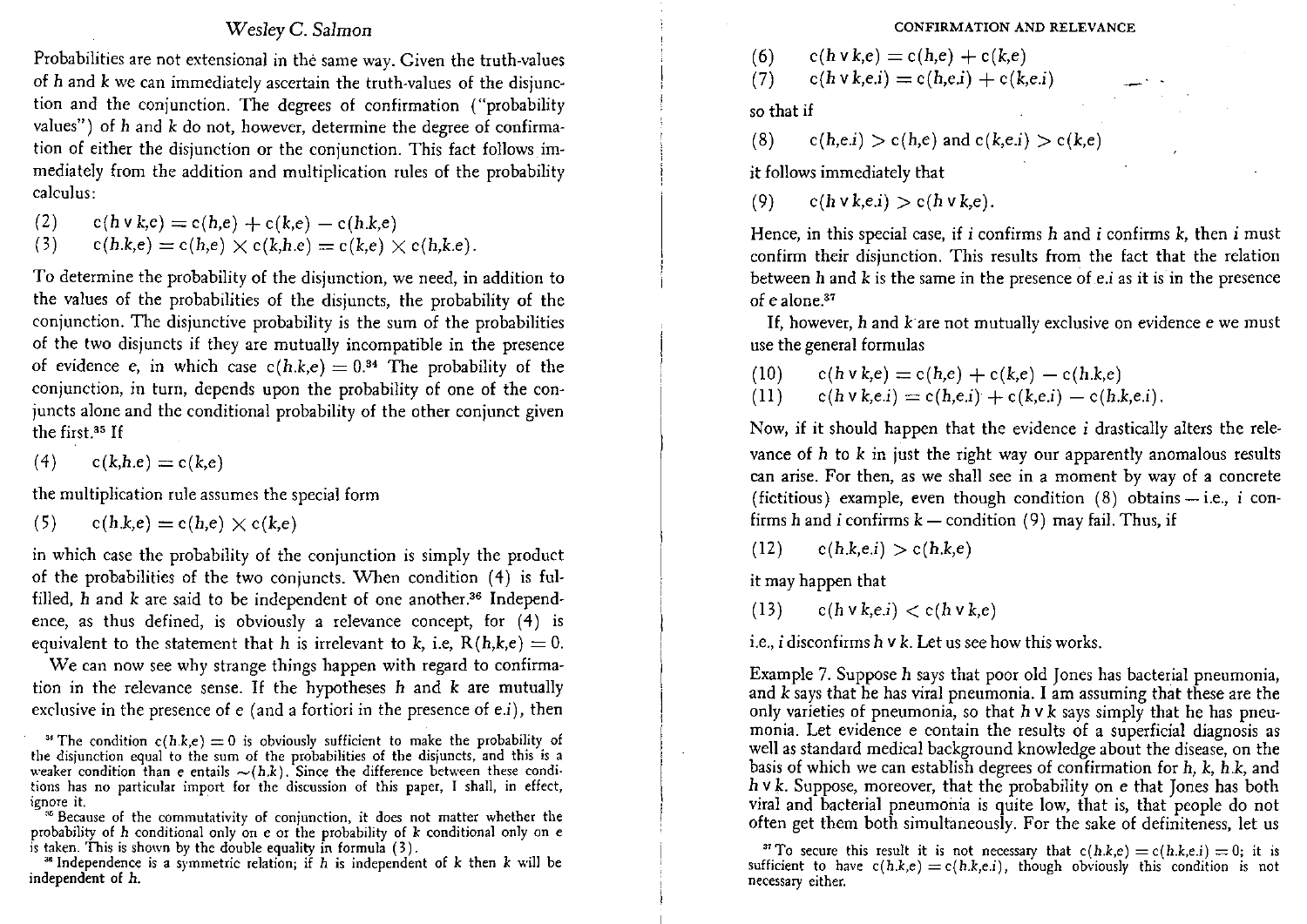Probabilities are not extensional in the same way. Given the truth-values of hand k we can immediately ascertain the truth-values of the disjunction and the conjunction. The degrees of confirmation ("probability values") of  $h$  and  $k$  do not, however, determine the degree of confirmation of either the disjunction or the conjunction. This fact follows immediately from the addition and multiplication rules of the probability calculus:

- (2)  $c(h \vee k,e) = c(h,e) + c(k,e) c(h.k,e)$ <br>(3)  $c(h.k,e) = c(h,e) \times c(k,h.e) = c(k,e)$
- $c(h,k,e) = c(h,e) \times c(k,h,e) = c(k,e) \times c(h,k,e)$ .

To determine the probability of the disjunction, we need, in addition to the values of the probabilities of the disjuncts, the probability of the conjunction. The disjunctive probability is the sum of the probabilities of the two disjuncts if they are mutual1y incompatible in the presence of evidence e, in which case  $c(h.k,e) = 0.34$  The probability of the conjunction, in turn, depends upon the probability of one of the conjuncts alone and the conditional probability of the other conjunct given the first.<sup>35</sup> If

$$
(4) \qquad c(k,h.e) = c(k,e)
$$

the multiplication rule assumes the special form

(5) 
$$
c(h.k,e) = c(h,e) \times c(k,e)
$$

in which case the probability of the conjunction is simply the product of the probabilities of the two conjuncts. When condition (4) is fulfilled, h and  $k$  are said to be independent of one another.<sup>36</sup> Independence, as thus defined, is obviously a relevance concept, for (4) is equivalent to the statement that h is irrelevant to k, i.e,  $R(h,k,e) = 0$ .

We can now see why strange things happen with regard to confirmation in the relevance sense. If the hypotheses  $h$  and  $k$  are mutually exclusive in the presence of  $e$  (and a fortiori in the presence of  $e.i$ ), then

<sup>36</sup> **Independence is a symmetric relation; if** *h* **is independent of k then k will be independent of** *h.*

#### CONFIRMATION AND RELEVANCE

(6) 
$$
c(h \vee k, e) = c(h, e) + c(k, e)
$$
  
\n $c(h \vee k, e.i) = c(h, e.i) + c(k, e.i)$ 

so that if

(8)  $c(h,e,i) > c(h,e)$  and  $c(k,e,i) > c(k,e)$ 

it follows immediately that

(9) c(h v k,e,i)  $>$  c(h v k,e).

Hence, in this special case, if i confirms h and i confirms k, then i must confirm their disjunction. This results from the fact that the relation between  $h$  and  $k$  is the same in the presence of  $e,i$  as it is in the presence of e alone.<sup>37</sup>

If, however,  $h$  and  $k$  are not mutually exclusive on evidence  $e$  we must use the general formulas

(10) 
$$
c(h \vee k,e) = c(h,e) + c(k,e) - c(h.k,e)
$$
  
(11)  $c(h \vee k,e.i) = c(h,e.i) + c(k,e.i) - c(h.k,e.i)$ .

Now, if it should happen that the evidence i drastically alters the relevance of h to k in just the right way our apparently anomalous results can arise. For then, as we shal1 see in a moment by way of a concrete (fictitious) example, even though condition  $(8)$  obtains - i.e., i confirms h and *i* confirms  $k$  - condition (9) may fail. Thus, if

(12)  $c(h.k,e.i) > c(h.k,e)$ 

it may happen that

(13) c( $h \vee k,e,i$ ) < c( $h \vee k,e$ )

i.e., *i* disconfirms h v *k*. Let us see how this works.

Example 7. Suppose h says that poor old Jones has bacterial pneumonia, and k says that he has viral pneumonia. I am assuming that these are the only varieties of pneumonia, so that  $h \vee k$  says simply that he has pneumonia. Let evidence e contain the results of a superficial diagnosis as well as standard medical background knowledge about the disease, on the basis of which we can establish degrees of confirmation for h, k, *h.k,* and  $h \vee k$ . Suppose, moreover, that the probability on e that Jones has both viral and bacterial pneumonia is quite low, that is, that people do not often get them both simultaneously. For the sake of definiteness, let us

<sup>37</sup> To secure this result it is not necessary that  $c(h.k,e) = c(h.k,e.i) = 0$ ; it is **sufficient to** have  $c(h,k,e) = c(h,k,e,i)$ , though obviously this condition is not **necessary either.**

<sup>&</sup>lt;sup>34</sup> The condition  $c(h.k,e) = 0$  is obviously sufficient to make the probability of **the disjunction equal to the sum of the probabilities of the disjuncts. and this is** weaker condition than  $e$  entails  $\sim$   $(h.k)$ . Since the difference between these condi**tions has no particular import for the discussion of this paper, I shall, in effect, ignore it.** .

<sup>:</sup>IG **Because of the commutativity of conjunction, it does not matter whether the probability of h conditional only on e or the probability of k conditional only on e is taken. This is shown by the double equality in formula (3).**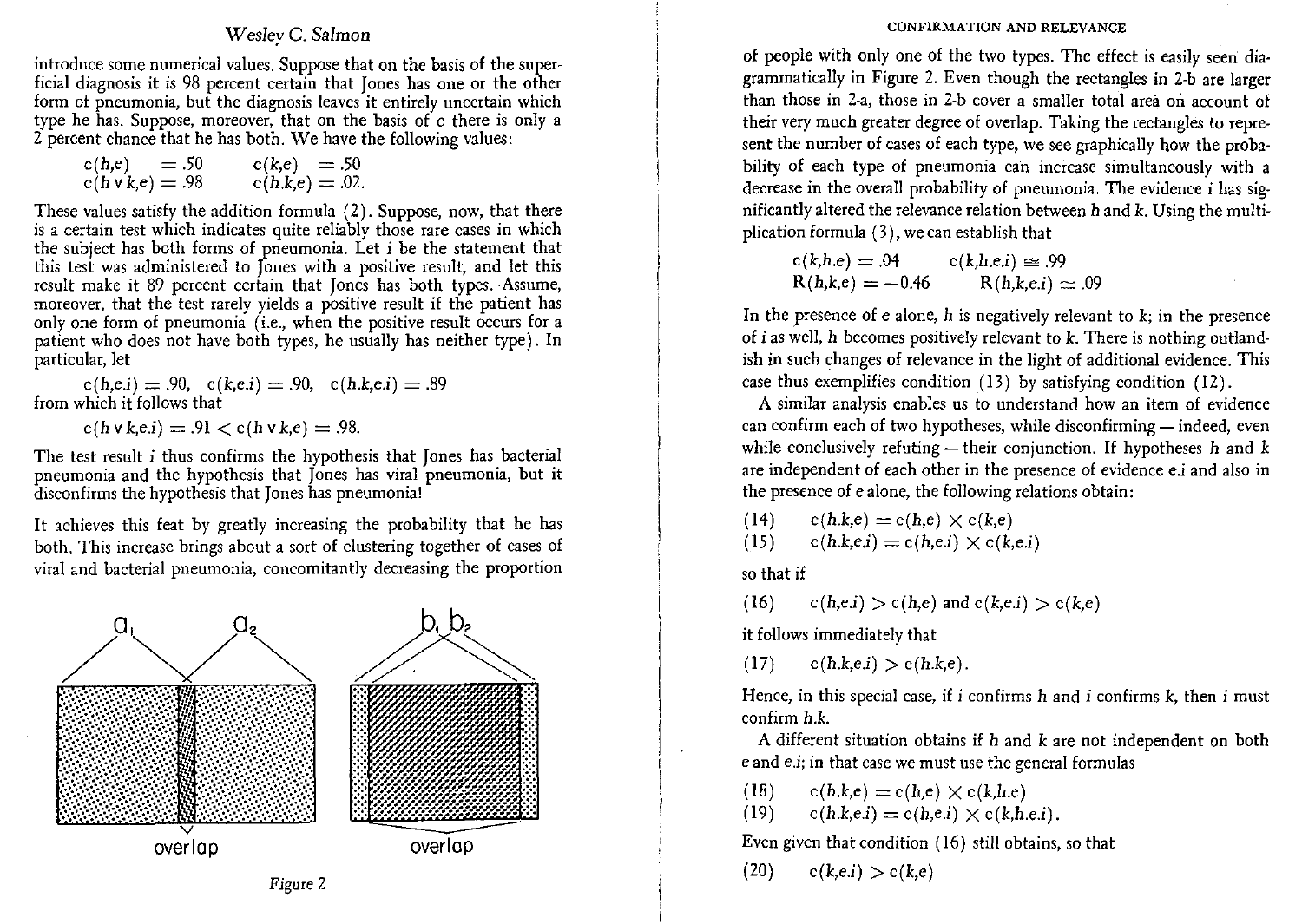introduce some numerical values. Suppose that on the basis of the superficial diagnosis it is 98 percent certain that Jones has one or the other form of pneumonia, but the diagnosis leaves it entirely uncertain which type he has. Suppose, moreover, that on the basis of e there is only a 2 percent chance that he has both. We have the following values:

| $\mathrm{c}(\mathrm{h}\mathrm{,e})$                               | $=.50$ | c(k,e)            | $= .50$ |
|-------------------------------------------------------------------|--------|-------------------|---------|
| $\mathrm{c}(\mathrm{h}\,\mathrm{v}\,\mathrm{k},\mathrm{e}) = .98$ |        | $c(h.k,e) = .02.$ |         |

These values satisfy the addition formula (2). Suppose, now, that there is a certain test which indicates quite reliably those rare cases in which the subject has both forms of pneumonia. Let i be the statement that this test was administered to Jones with a positive result, and let this result make it 89 percent certain that Jones has both types. Assume, moreover, that the test rarely yields a positive result if the patient has only one form of pneumonia (i.e., when the positive result occurs for a patient who does not have both types, he usually has neither type). In particular, let

 $c(h,e.i) = .90, \quad c(k,e.i) = .90, \quad c(h.k,e.i) = .89$ from which it follows that

 $c(h v k, e.i) = .91 < c(h v k, e) = .98.$ 

The test result i thus confirms the hypothesis that Jones has bacterial pneumonia and the hypothesis that Jones has viral pneumonia, but it disconfirms the hypothesis that Jones has pneumonia!

It achieves this feat by greatly increasing the probability that he has both. This increase brings about a sort of clustering together of cases of viral and bacterial pneumonia, concomitantly decreasing the proportion



#### CONFIRMATION AND RELEVANCE

of people with only one of the two types. The effect is easily seen diagrammatically in Figure 2. Even though the rectangles in 2-b are larger than those in 2-a, those in 2-b cover a smaller total area on account of their very much greater degree of overlap. Taking the rectangles to represent the number of cases of each type, we see graphically how the probability of each type of pneumonia can increase simultaneously with a decrease in the overall probability of pneumonia. The evidence i has significantly altered the relevance relation between hand *k.* Using the multiplication formula (3), we can establish that

$$
c(k, h.e) = .04 \t c(k, h.e. i) \approx .99R(h, k, e) = -0.46 \t R(h, k, e. i) \approx .09
$$

In the presence of e alone, h is negatively relevant to *k;* in the presence of i as well, h becomes positively relevant to k. There is nothing outlandish in such changes of relevance in the light of additional evidence. This case thus exemplifies condition (13) by satisfying condition (12).

A similar analysis enables us to understand how an item of evidence can confirm each of two hypotheses, while disconfirming  $-$  indeed, even while conclusively refuting  $-$  their conjunction. If hypotheses  $h$  and  $k$ are independent of each other in the presence of evidence e.i and also in the presence of e alone, the following relations obtain:

(14) 
$$
c(h.k,e) = c(h,e) \times c(k,e)
$$

$$
c(h.k,e.i) = c(h,e.i) \times c(k,e.i)
$$

so that if

(16) c(h,e,i) > c(h,e) and c(k,e,i) > c(k,e)

it follows immediately that

(17)  $c(h,k,e,i) > c(h,k,e)$ .

Hence, in this special case, if  $i$  confirms  $h$  and  $i$  confirms  $k$ , then  $i$  must confirm h.k.

A different situation obtains if hand *k* are not independent on both e and e.i; in that case we must use the general formulas

- (18) c(h,k,e)  $= c(h,e) \times c(k, h.e)$
- (19)  $c(h.k,e.i) = c(h,e.i) \times c(k,h.e.i)$ .

Even given that condition (16) still obtains, so that

(20)  $c(k,e,i) > c(k,e)$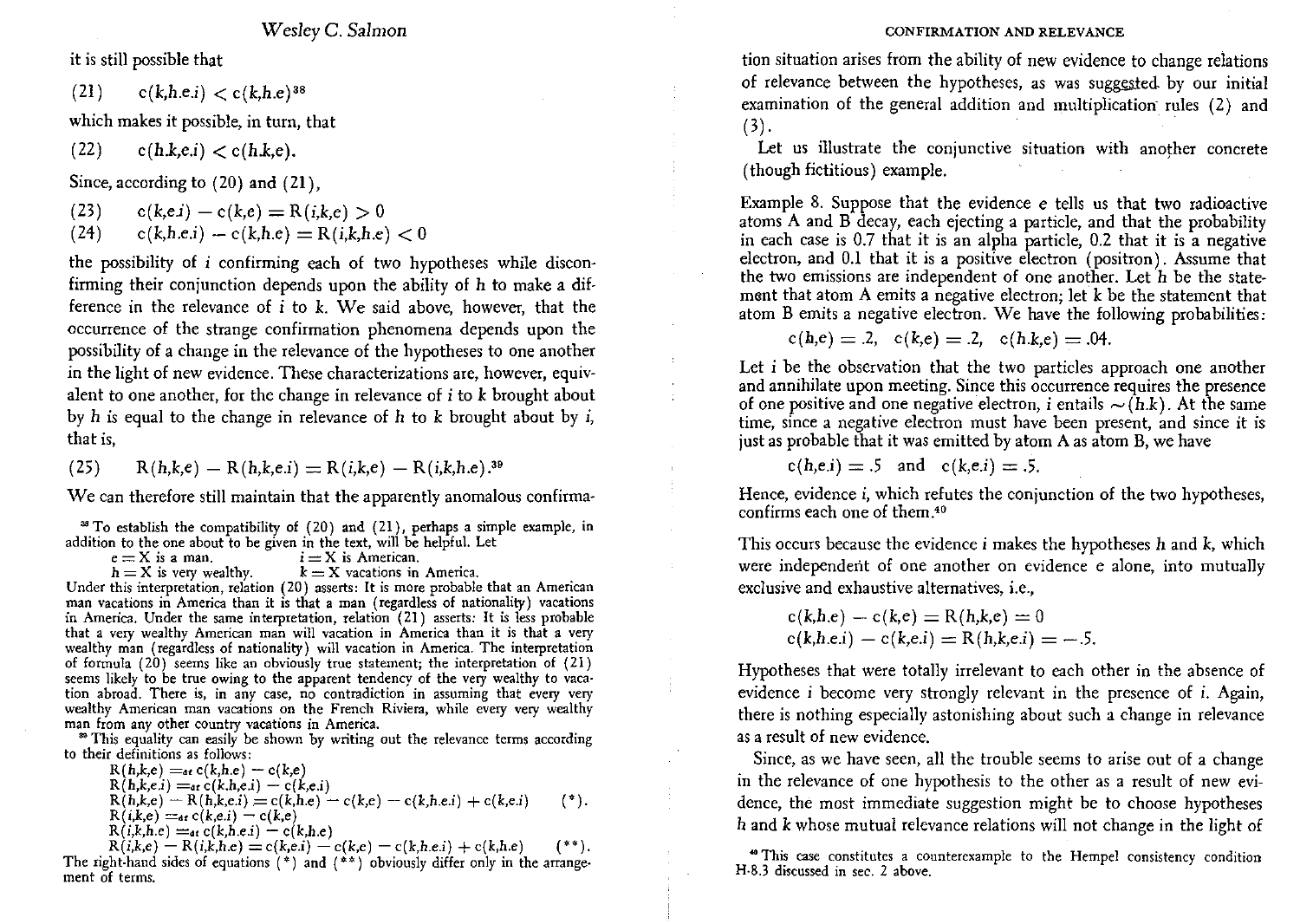it is still possible that

(21)  $c(k, h.e.i) < c(k, h.e)^{38}$ 

which makes it possible, in turn, that

(22)  $c(h.k,e.i) < c(h.k,e).$ 

Since, according to (20) and (21),

(23) 
$$
c(k,e,i) - c(k,e) = R(i,k,e) > 0
$$

$$
(24) \qquad c(k, h.e.) - c(k, h.e.) = R(i, k, h.e) < 0
$$

the possibility of i confirming each of two hypotheses while disconfirming their conjunction depends upon the ability of h to make a dif· ference in the relevance of i to k. We said above, however, that the occurrence of the strange confirmation phenomena depends upon the possibility of a change in the relevance of the hypotheses to one another in the light of new evidence. These characterizations are, however, equivalent to one another, for the change in relevance of i to k brought about by h is equal to the change in relevance of h to k brought about by i, that is,

(25) 
$$
R(h,k,e) - R(h,k,e,i) = R(i,k,e) - R(i,k,h,e).^{39}
$$

We Can therefore still maintain that the apparently anomalous confirma-

as **To establish the compatibility of (20) and (21), perhaps a simple example, in addition to the** one about to be given in the text, will be helpful. Let  $e = X$  is a man.  $i = X$  is American.

 $e = X$  is a man,<br>  $h = X$  is very wealthy.  $k = X$  vacations in

 $k = X$  **vacations** in America.

**Under this interpretation, relation (20) asserts: It is more probable that an American man vacations in America than it is that a man (regardless of nationality) vacations in America. Under the same interpretation, relation (21) asserts: It is less probable that a very wealthy American man will vacation in America than it is that a very wealthy man (regardless of nationality) will vacation in America. The interpretation of formula (20) seems like an obviously true statement; the interpretation of (21) seems likely to be true owing to the apparent tendency of the very wealthy to vaca· tion abroad. There is, in any case, no contradiction in assuming that every very wealthy American man vacations on the French Riviera, while every very wealthy man from any other country vacations in America.**

8Il **This equality can. easily be shown by writing out the relevance terms according to their definitions as follows:**

 $R(h,k,e) = a e^{k} c(k,he) - c(k,e)$  $R(h,k,e,i) = \frac{c(k,h,e,i) - c(k,e,i)}{h}$  $R(h,k,e) - R(h,k,e,i) = c(k,h,e) - c(k,e) - c(k,h.e.i) + c(k,e.i)$  (\*).<br>  $R(i,k,e) = a_i c(k,e.i) - c(k,e)$  $R(i,k,h,e) = a_i c(k,h,e_i) - c(k,h,e)$  $R(i,k,e) - R(i,k,h,e) = c(k,e,i) - c(k,e) - c(k,h,e,i) + c(k,h,e)$  (\*\*).

**The right-hand sides of equations (\*) and (\* \*) obviously differ only in the arrange· ment of terms.**

tion situation arises from the ability of new evidence to change relations of relevance between the hypotheses, as was suggested by our initial examination of the general addition and multiplication rules (2) and (3). .

Let us illustrate the conjunctive situation with another concrete (though fictitious) example.

Example 8. Suppose that the evidence e tells us that two radioactive atoms A and B decay, each ejecting a particle, and that the probability in each case is 0.7 that it is an alpha particle, 0.2 that it is a negative electron, and 0.1 that it is a positive electron (positron). Assume that the two emissions are independent of one another. Let h be the statement that atom A emits a negative electron; let  $k$  be the statement that atom B emits a negative electron. We have the following probabilities:

$$
c(h,e) = .2
$$
,  $c(k,e) = .2$ ,  $c(h.k,e) = .04$ .

Let i be the observation that the two particles approach one another and annihilate upon meeting. Since this occurrence requires the presence of one positive and one negative electron, i entails  $\sim$  (h.k). At the same **time, since a negative electron must have been present, and since it is** just as probable that it was emitted by atom A as atom B, we have

 $c(h,e,i) = .5$  and  $c(k,e,i) = .5$ .

Hence, evidence i, which refutes the conjunction of the two hypotheses, confirms each one of them.<sup>40</sup>

This occurs because the evidence i makes the hypotheses h and k, which were independent of one another on evidence e alone, into mutually **exclusive and exhaustive alternatives, i.e.,**

$$
c(k, h.e) - c(k, e) = R(h, k, e) = 0
$$
  
\n
$$
c(k, h.e. i) - c(k, e.i) = R(h, k, e.i) = -.5.
$$

Hypotheses that were totally irrelevant to each other in the absence of evidence i become very strongly relevant in the presence of i. Again, there is nothing especially astonishing about such a change in relevance as a result of new evidence.

Since, as we have seen, all the trouble seems to arise out of a change in the relevance of one hypothesis to the other as a result of new evidence, the most immediate suggestion might be to choose hypotheses hand k whose mutual relevance relations will not change in the light of

**This case constitutes a counterexample to the Hempel consistency condition H·8J discussed in sec. 2 above.**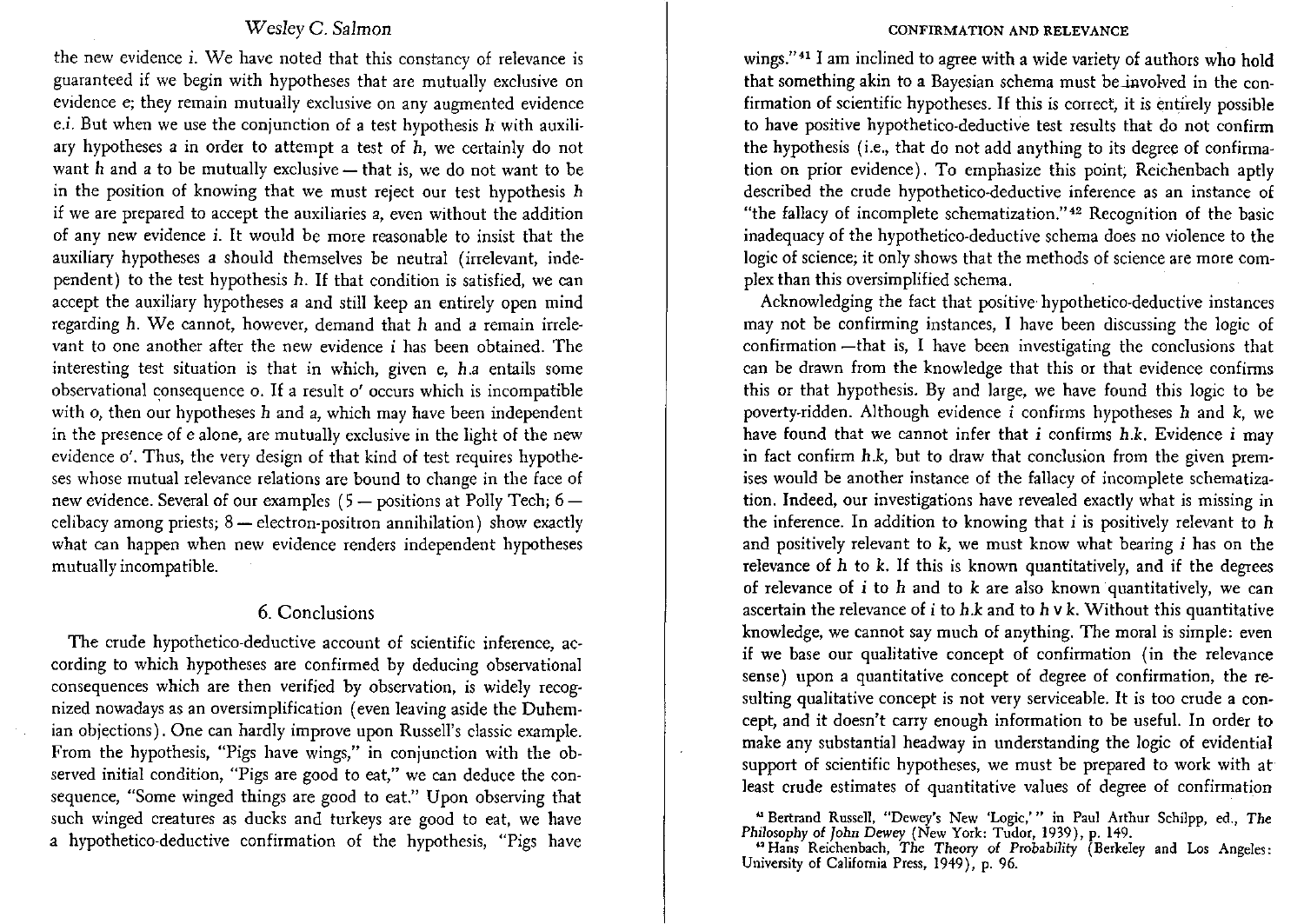the new evidence i. We have noted that this constancy of relevance is guaranteed if we begin with hypotheses that are mutually exclusive on evidence e; they remain mutually exclusive on any augmented evidence e.i. But when we use the conjunction of a test hypothesis h with auxiliary hypotheses  $a$  in order to attempt  $a$  test of  $b$ , we certainly do not want *h* and *a* to be mutually exclusive - that is, we do not want to be in the position of knowing that we must reject our test hypothesis *h* if we are prepared to accept the auxiliaries a, even without the addition of any new evidence i. It would be more reasonable to insist that the auxiliary hypotheses a should themselves be neutral (irrelevant, independent) to the *test* hypothesis h. If that condition is satisfied, we can accept the auxiliary hypotheses a and still keep an entirely open mind regarding *b.* We cannot, however, demand that *b* and a remain irrelevant to one another after the new evidence i has been obtained. The interesting test situation is that in which, given e, b.a entails some observational consequence o. If a result 0' occurs which is incompatible with 0, then our hypotheses *h* and *a*, which may have been independent in the presence of e alone, are mutually exclusive in the light of the new evidence 0'. Thus, the very design of that kind of test requires hypotheses whose mutual relevance relations are bound to change in the face of new evidence. Several of our examples  $(5 -$  positions at Polly Tech;  $6$ celibacy among priests;  $8$  - electron-positron annihilation) show exactly what can happen when new evidence renders independent hypotheses mutually incompatible.

### 6. Conclusions

The crude hypothetico-deductive account of scientific inference, according to which hypotheses are confirmed by deducing observational consequences which are then verified by observation, is widely recognized nowadays as an oversimplification (even leaving aside the Duhemian objections). One can hardly improve upon Russell's classic example. From the hypothesis, "Pigs have wings," in conjunction with the observed initial condition, "Pigs are good to eat," we can deduce the consequence, "Some winged things are good to eat." Upon observing that such winged creatures as ducks and turkeys are good to eat, we have a hypothetico-deductive confirmation of the hypothesis, "Pigs have

#### CONFIRMATION AND RELEVANCE

wings."<sup>41</sup> I am inclined to agree with a wide variety of authors who hold that something akin to a Bayesian schema must be involved in the confirmation of scientific hypotheses. If this is correct, it is entirely possible to have positive hypothetico-deductive test results that do not confirm the hypothesis (i.e., that do not add anything to its degree of confirmation on prior evidence). To emphasize this point; Reichenbach aptly described the crude hypothetico-deductive inference as an instance of "the fallacy of incomplete schematization."42 Recognition of the basic inadequacy of the hypothetico-deductive schema does no violence to the logic of science; it only shows that the methods of science are more complex than this oversimplified schema.

Acknowledging the fact that positive hypothetico-deductive instances may not be confirming instances, I have been discussing the logic of confirmation -that is, I have been investigating the conclusions that can be drawn from the knowledge that this or that evidence confirms this or that hypothesis. By and large, we have found this logic to be poverty-ridden. Although evidence i confirms hypotheses band k, we have found that we cannot infer that  $i$  confirms h.k. Evidence  $i$  may in fact confirm b.k, but to draw that conclusion from the given premises would be another instance of the fallacy of incomplete schematization. Indeed, our investigations have revealed exactly what is missing in the inference. In addition to knowing that i is positively relevant to *b* and positively relevant to k, we must know what bearing i has on the relevance of  $h$  to  $k$ . If this is known quantitatively, and if the degrees of relevance of  $i$  to  $h$  and to  $k$  are also known quantitatively, we can ascertain the relevance of i to *b.k* and to *b* v k. Without this quantitative knowledge, we cannot say much of anything. The moral is simple: even if we base our qualitative concept of confirmation (in the relevance sense) upon a quantitative concept of degree of confirmation, the resulting qualitative concept is not very serviceable. It is *too* crude a concept, and it doesn't carry enough information to be useful. In order to make any substantial headway in understanding the logic of evidential support of scientific hypotheses, we must be prepared to work with at least crude estimates of quantitative values of degree of confirmation

**I.l Bertrand Russell, "Dewey's New 'Logic:" in Paul Arthur Schilpp, ed.,** *The Philosophy* 01 *John* Dewey (New York: Tudor, 1939), p. 149.

**<sup>U</sup> Hans Reichenbach,** *The Theory* **of Probability (Berkeley and Los Angeles:** University of California Press, 1949), p. 96.